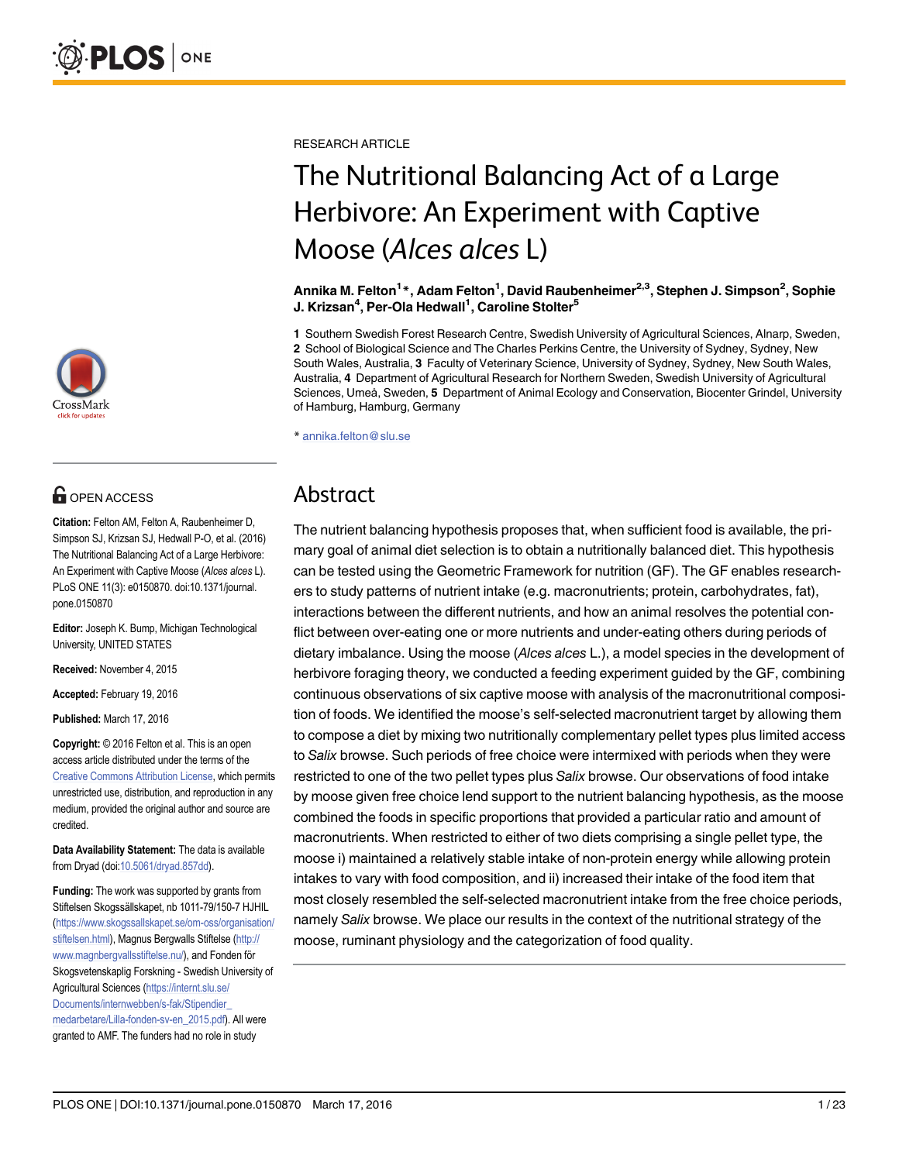

# **OPEN ACCESS**

Citation: Felton AM, Felton A, Raubenheimer D, Simpson SJ, Krizsan SJ, Hedwall P-O, et al. (2016) The Nutritional Balancing Act of a Large Herbivore: An Experiment with Captive Moose (Alces alces L). PLoS ONE 11(3): e0150870. doi:10.1371/journal. pone.0150870

Editor: Joseph K. Bump, Michigan Technological University, UNITED STATES

Received: November 4, 2015

Accepted: February 19, 2016

Published: March 17, 2016

Copyright: © 2016 Felton et al. This is an open access article distributed under the terms of the [Creative Commons Attribution License,](http://creativecommons.org/licenses/by/4.0/) which permits unrestricted use, distribution, and reproduction in any medium, provided the original author and source are credited.

Data Availability Statement: The data is available from Dryad (doi:[10.5061/dryad.857dd](http://dx.doi.org/10.5061/dryad.857dd)).

Funding: The work was supported by grants from Stiftelsen Skogssällskapet, nb 1011-79/150-7 HJHIL [\(https://www.skogssallskapet.se/om-oss/organisation/](https://www.skogssallskapet.se/om-oss/organisation/stiftelsen.html) [stiftelsen.html\)](https://www.skogssallskapet.se/om-oss/organisation/stiftelsen.html), Magnus Bergwalls Stiftelse [\(http://](http://www.magnbergvallsstiftelse.nu/) [www.magnbergvallsstiftelse.nu/\)](http://www.magnbergvallsstiftelse.nu/), and Fonden för Skogsvetenskaplig Forskning - Swedish University of Agricultural Sciences ([https://internt.slu.se/](https://internt.slu.se/Documents/internwebben/s-fak/Stipendier_medarbetare/Lilla-fonden-sv-en_2015.pdf) [Documents/internwebben/s-fak/Stipendier\\_](https://internt.slu.se/Documents/internwebben/s-fak/Stipendier_medarbetare/Lilla-fonden-sv-en_2015.pdf) [medarbetare/Lilla-fonden-sv-en\\_2015.pdf](https://internt.slu.se/Documents/internwebben/s-fak/Stipendier_medarbetare/Lilla-fonden-sv-en_2015.pdf)). All were granted to AMF. The funders had no role in study

RESEARCH ARTICLE

# The Nutritional Balancing Act of a Large<br>Herbivore: An Experiment with Captive Moose (Alces alces L) Moose (*Alces alces* L)<br>. . . . . . . . . . . . . . . . . .

Annika M. Felton<sup>1</sup>\*, Adam Felton<sup>1</sup>, David Raubenheimer<sup>2,3</sup>, Stephen J. Simpson<sup>2</sup>, Sophie J. Krizsan $^4$ , Per-Ola Hedwall $^1$ , Caroline Stolter $^5$ 

1 Southern Swedish Forest Research Centre, Swedish University of Agricultural Sciences, Alnarp, Sweden, 2 School of Biological Science and The Charles Perkins Centre, the University of Sydney, Sydney, New South Wales, Australia, 3 Faculty of Veterinary Science, University of Sydney, Sydney, New South Wales, Australia, 4 Department of Agricultural Research for Northern Sweden, Swedish University of Agricultural Sciences, Umeå, Sweden, 5 Department of Animal Ecology and Conservation, Biocenter Grindel, University of Hamburg, Hamburg, Germany

\* annika.felton@slu.se

# Abstract

Abstract The nutrient balancing hypothesis proposes that, when sufficient food is available, the primary goal of animal diet selection is to obtain a nutritionally balanced diet. This hypothesis can be tested using the Geometric Framework for nutrition (GF). The GF enables researchers to study patterns of nutrient intake (e.g. macronutrients; protein, carbohydrates, fat), interactions between the different nutrients, and how an animal resolves the potential conflict between over-eating one or more nutrients and under-eating others during periods of dietary imbalance. Using the moose (Alces alces L.), a model species in the development of herbivore foraging theory, we conducted a feeding experiment guided by the GF, combining continuous observations of six captive moose with analysis of the macronutritional composition of foods. We identified the moose's self-selected macronutrient target by allowing them to compose a diet by mixing two nutritionally complementary pellet types plus limited access to Salix browse. Such periods of free choice were intermixed with periods when they were restricted to one of the two pellet types plus Salix browse. Our observations of food intake by moose given free choice lend support to the nutrient balancing hypothesis, as the moose combined the foods in specific proportions that provided a particular ratio and amount of macronutrients. When restricted to either of two diets comprising a single pellet type, the moose i) maintained a relatively stable intake of non-protein energy while allowing protein intakes to vary with food composition, and ii) increased their intake of the food item that most closely resembled the self-selected macronutrient intake from the free choice periods, namely Salix browse. We place our results in the context of the nutritional strategy of the moose, ruminant physiology and the categorization of food quality.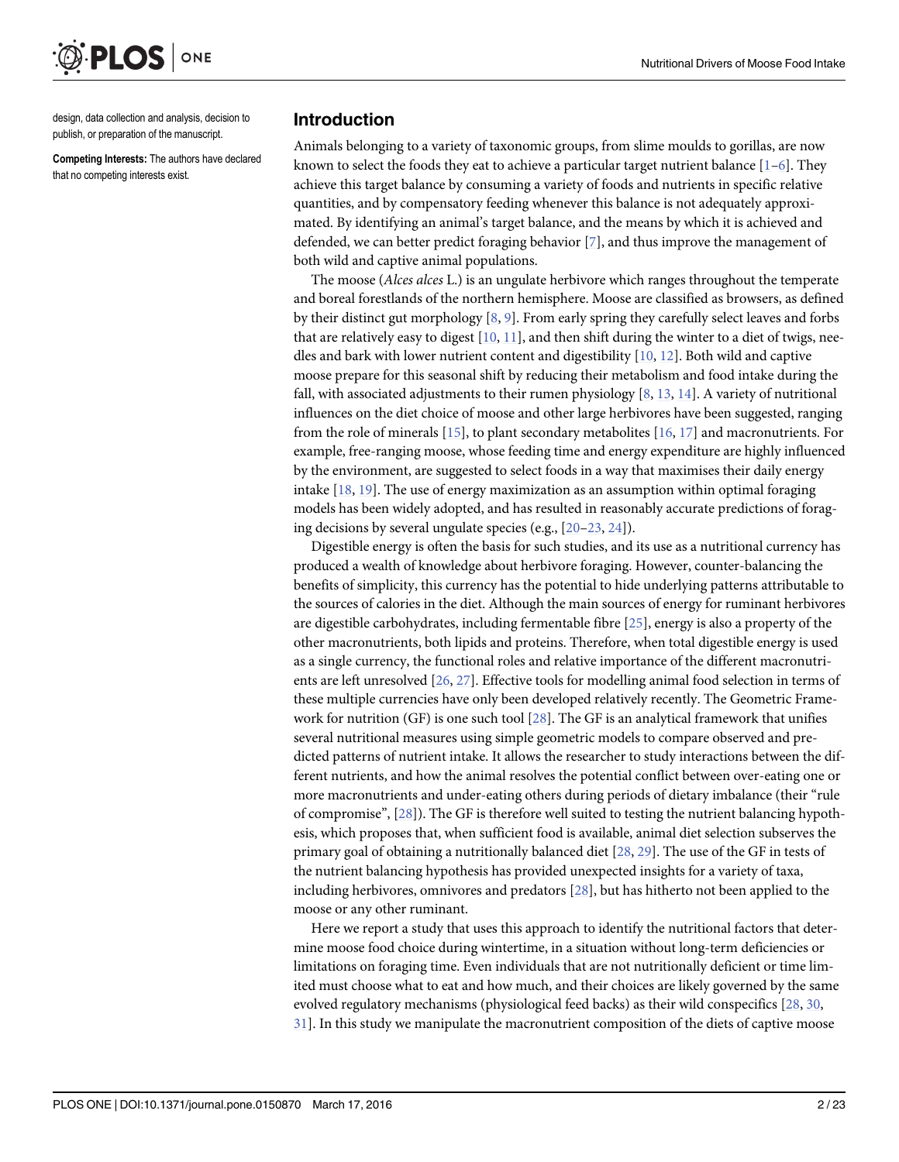design, data collection and analysis, decision to publish, or preparation of the manuscript.

ONE

<span id="page-1-0"></span>**PLOS I** 

Competing Interests: The authors have declared that no competing interests exist.

## Introduction

Animals belonging to a variety of taxonomic groups, from slime moulds to gorillas, are now known to select the foods they eat to achieve a particular target nutrient balance  $[1-6]$  $[1-6]$  $[1-6]$  $[1-6]$ . They achieve this target balance by consuming a variety of foods and nutrients in specific relative quantities, and by compensatory feeding whenever this balance is not adequately approximated. By identifying an animal's target balance, and the means by which it is achieved and defended, we can better predict foraging behavior  $[7]$  $[7]$ , and thus improve the management of both wild and captive animal populations.

The moose (Alces alces L.) is an ungulate herbivore which ranges throughout the temperate and boreal forestlands of the northern hemisphere. Moose are classified as browsers, as defined by their distinct gut morphology  $[8, 9]$  $[8, 9]$  $[8, 9]$  $[8, 9]$ . From early spring they carefully select leaves and forbs that are relatively easy to digest  $[10, 11]$  $[10, 11]$  $[10, 11]$  $[10, 11]$  $[10, 11]$ , and then shift during the winter to a diet of twigs, needles and bark with lower nutrient content and digestibility [[10](#page-18-0), [12](#page-19-0)]. Both wild and captive moose prepare for this seasonal shift by reducing their metabolism and food intake during the fall, with associated adjustments to their rumen physiology  $[8, 13, 14]$  $[8, 13, 14]$  $[8, 13, 14]$  $[8, 13, 14]$  $[8, 13, 14]$  $[8, 13, 14]$ . A variety of nutritional influences on the diet choice of moose and other large herbivores have been suggested, ranging from the role of minerals  $[15]$  $[15]$ , to plant secondary metabolites  $[16, 17]$  $[16, 17]$  $[16, 17]$  $[16, 17]$  $[16, 17]$  and macronutrients. For example, free-ranging moose, whose feeding time and energy expenditure are highly influenced by the environment, are suggested to select foods in a way that maximises their daily energy intake  $[18, 19]$  $[18, 19]$  $[18, 19]$ . The use of energy maximization as an assumption within optimal foraging models has been widely adopted, and has resulted in reasonably accurate predictions of foraging decisions by several ungulate species (e.g., [[20](#page-19-0)–[23,](#page-19-0) [24\]](#page-19-0)).

Digestible energy is often the basis for such studies, and its use as a nutritional currency has produced a wealth of knowledge about herbivore foraging. However, counter-balancing the benefits of simplicity, this currency has the potential to hide underlying patterns attributable to the sources of calories in the diet. Although the main sources of energy for ruminant herbivores are digestible carbohydrates, including fermentable fibre  $[25]$  $[25]$ , energy is also a property of the other macronutrients, both lipids and proteins. Therefore, when total digestible energy is used as a single currency, the functional roles and relative importance of the different macronutrients are left unresolved [[26](#page-19-0), [27](#page-19-0)]. Effective tools for modelling animal food selection in terms of these multiple currencies have only been developed relatively recently. The Geometric Framework for nutrition (GF) is one such tool  $[28]$  $[28]$  $[28]$ . The GF is an analytical framework that unifies several nutritional measures using simple geometric models to compare observed and predicted patterns of nutrient intake. It allows the researcher to study interactions between the different nutrients, and how the animal resolves the potential conflict between over-eating one or more macronutrients and under-eating others during periods of dietary imbalance (their "rule of compromise", [[28](#page-19-0)]). The GF is therefore well suited to testing the nutrient balancing hypothesis, which proposes that, when sufficient food is available, animal diet selection subserves the primary goal of obtaining a nutritionally balanced diet [\[28,](#page-19-0) [29\]](#page-19-0). The use of the GF in tests of the nutrient balancing hypothesis has provided unexpected insights for a variety of taxa, including herbivores, omnivores and predators [\[28\]](#page-19-0), but has hitherto not been applied to the moose or any other ruminant.

Here we report a study that uses this approach to identify the nutritional factors that determine moose food choice during wintertime, in a situation without long-term deficiencies or limitations on foraging time. Even individuals that are not nutritionally deficient or time limited must choose what to eat and how much, and their choices are likely governed by the same evolved regulatory mechanisms (physiological feed backs) as their wild conspecifics [\[28,](#page-19-0) [30,](#page-19-0) [31\]](#page-19-0). In this study we manipulate the macronutrient composition of the diets of captive moose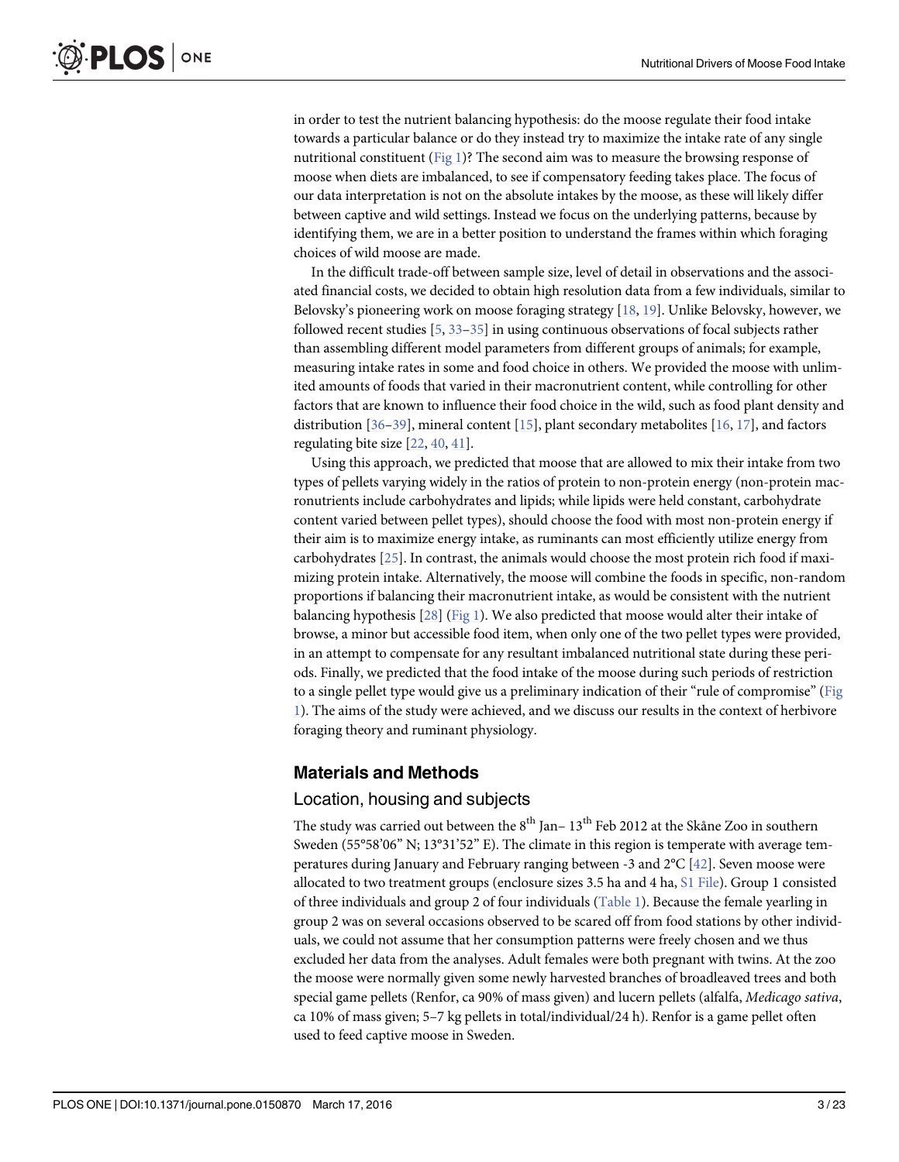<span id="page-2-0"></span>in order to test the nutrient balancing hypothesis: do the moose regulate their food intake towards a particular balance or do they instead try to maximize the intake rate of any single nutritional constituent  $(Fig_1)$ ? The second aim was to measure the browsing response of moose when diets are imbalanced, to see if compensatory feeding takes place. The focus of our data interpretation is not on the absolute intakes by the moose, as these will likely differ between captive and wild settings. Instead we focus on the underlying patterns, because by identifying them, we are in a better position to understand the frames within which foraging choices of wild moose are made.

In the difficult trade-off between sample size, level of detail in observations and the associated financial costs, we decided to obtain high resolution data from a few individuals, similar to Belovsky's pioneering work on moose foraging strategy [[18](#page-19-0), [19](#page-19-0)]. Unlike Belovsky, however, we followed recent studies [\[5](#page-18-0), [33](#page-19-0)–[35\]](#page-19-0) in using continuous observations of focal subjects rather than assembling different model parameters from different groups of animals; for example, measuring intake rates in some and food choice in others. We provided the moose with unlimited amounts of foods that varied in their macronutrient content, while controlling for other factors that are known to influence their food choice in the wild, such as food plant density and distribution [[36](#page-20-0)–[39\]](#page-20-0), mineral content [[15](#page-19-0)], plant secondary metabolites [[16](#page-19-0), [17](#page-19-0)], and factors regulating bite size [[22](#page-19-0), [40](#page-20-0), [41](#page-20-0)].

Using this approach, we predicted that moose that are allowed to mix their intake from two types of pellets varying widely in the ratios of protein to non-protein energy (non-protein macronutrients include carbohydrates and lipids; while lipids were held constant, carbohydrate content varied between pellet types), should choose the food with most non-protein energy if their aim is to maximize energy intake, as ruminants can most efficiently utilize energy from carbohydrates  $[25]$  $[25]$  $[25]$ . In contrast, the animals would choose the most protein rich food if maximizing protein intake. Alternatively, the moose will combine the foods in specific, non-random proportions if balancing their macronutrient intake, as would be consistent with the nutrient balancing hypothesis [[28](#page-19-0)] ([Fig 1\)](#page-3-0). We also predicted that moose would alter their intake of browse, a minor but accessible food item, when only one of the two pellet types were provided, in an attempt to compensate for any resultant imbalanced nutritional state during these periods. Finally, we predicted that the food intake of the moose during such periods of restriction to a single pellet type would give us a preliminary indication of their "rule of compromise" ([Fig](#page-3-0) [1\)](#page-3-0). The aims of the study were achieved, and we discuss our results in the context of herbivore foraging theory and ruminant physiology.

# Materials and Methods

#### Location, housing and subjects

The study was carried out between the  $8^{th}$  Jan-  $13^{th}$  Feb 2012 at the Skåne Zoo in southern Sweden (55°58'06" N; 13°31'52" E). The climate in this region is temperate with average temperatures during January and February ranging between -3 and  $2^{\circ}C$  [\[42](#page-20-0)]. Seven moose were allocated to two treatment groups (enclosure sizes 3.5 ha and 4 ha, [S1 File\)](#page-18-0). Group 1 consisted of three individuals and group 2 of four individuals ([Table 1\)](#page-4-0). Because the female yearling in group 2 was on several occasions observed to be scared off from food stations by other individuals, we could not assume that her consumption patterns were freely chosen and we thus excluded her data from the analyses. Adult females were both pregnant with twins. At the zoo the moose were normally given some newly harvested branches of broadleaved trees and both special game pellets (Renfor, ca 90% of mass given) and lucern pellets (alfalfa, Medicago sativa, ca 10% of mass given; 5–7 kg pellets in total/individual/24 h). Renfor is a game pellet often used to feed captive moose in Sweden.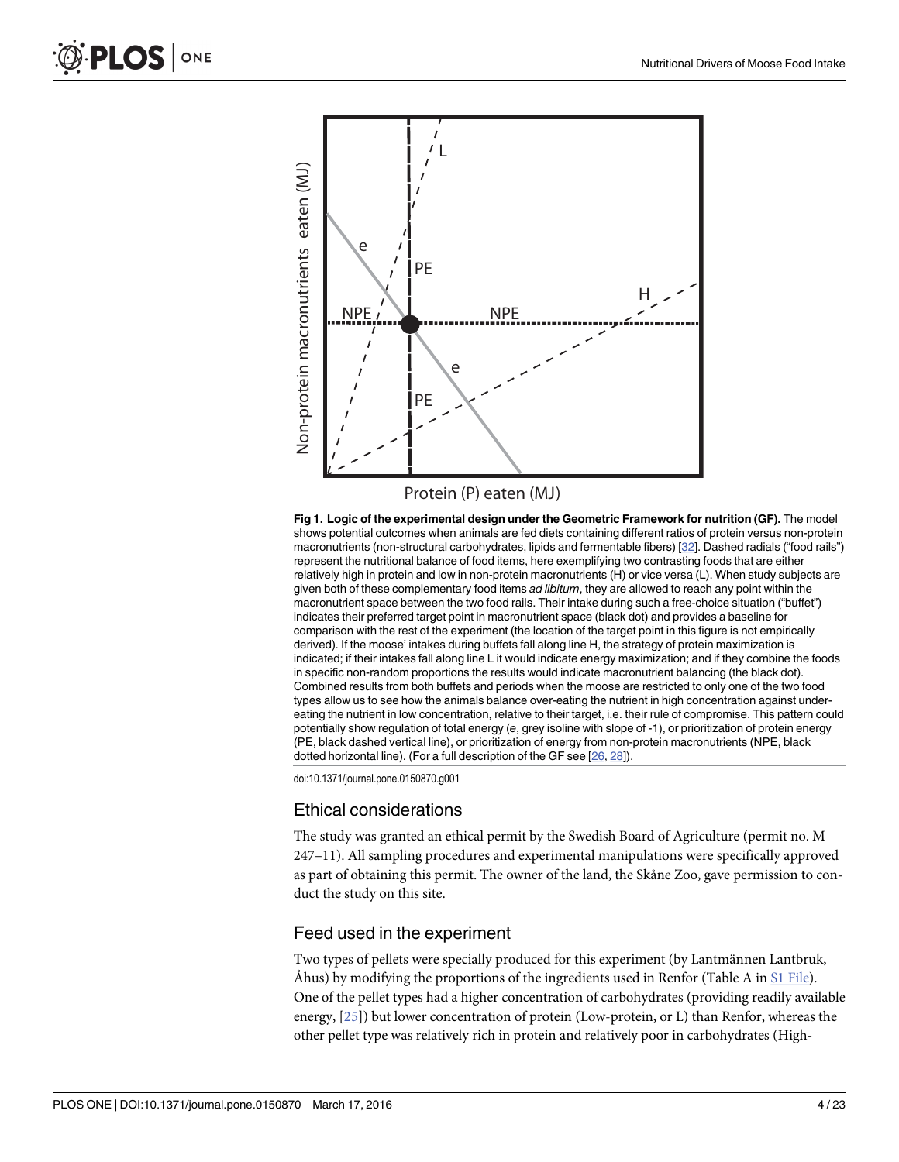<span id="page-3-0"></span>

[Fig 1. L](#page-2-0)ogic of the experimental design under the Geometric Framework for nutrition (GF). The model shows potential outcomes when animals are fed diets containing different ratios of protein versus non-protein macronutrients (non-structural carbohydrates, lipids and fermentable fibers) [\[32](#page-19-0)]. Dashed radials ("food rails") represent the nutritional balance of food items, here exemplifying two contrasting foods that are either relatively high in protein and low in non-protein macronutrients (H) or vice versa (L). When study subjects are given both of these complementary food items ad libitum, they are allowed to reach any point within the macronutrient space between the two food rails. Their intake during such a free-choice situation ("buffet") indicates their preferred target point in macronutrient space (black dot) and provides a baseline for comparison with the rest of the experiment (the location of the target point in this figure is not empirically derived). If the moose' intakes during buffets fall along line H, the strategy of protein maximization is indicated; if their intakes fall along line L it would indicate energy maximization; and if they combine the foods in specific non-random proportions the results would indicate macronutrient balancing (the black dot). Combined results from both buffets and periods when the moose are restricted to only one of the two food types allow us to see how the animals balance over-eating the nutrient in high concentration against undereating the nutrient in low concentration, relative to their target, i.e. their rule of compromise. This pattern could potentially show regulation of total energy (e, grey isoline with slope of -1), or prioritization of protein energy (PE, black dashed vertical line), or prioritization of energy from non-protein macronutrients (NPE, black dotted horizontal line). (For a full description of the GF see [\[26,](#page-19-0) [28\]](#page-19-0)).

doi:10.1371/journal.pone.0150870.g001

#### Ethical considerations

The study was granted an ethical permit by the Swedish Board of Agriculture (permit no. M 247–11). All sampling procedures and experimental manipulations were specifically approved as part of obtaining this permit. The owner of the land, the Skåne Zoo, gave permission to conduct the study on this site.

# Feed used in the experiment

Two types of pellets were specially produced for this experiment (by Lantmännen Lantbruk, Åhus) by modifying the proportions of the ingredients used in Renfor (Table A in  $S1$  File). One of the pellet types had a higher concentration of carbohydrates (providing readily available energy, [\[25](#page-19-0)]) but lower concentration of protein (Low-protein, or L) than Renfor, whereas the other pellet type was relatively rich in protein and relatively poor in carbohydrates (High-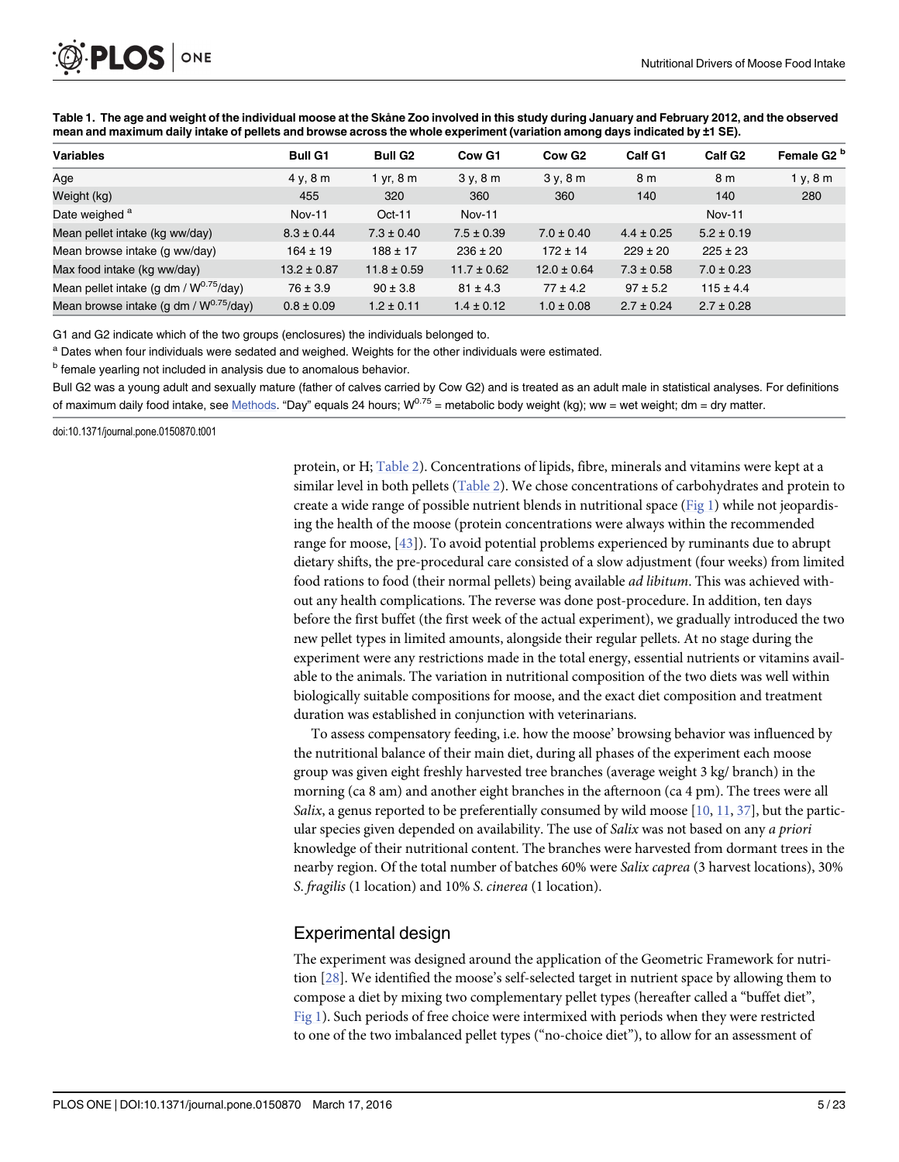<span id="page-4-0"></span>

| Table 1. The age and weight of the individual moose at the Skåne Zoo involved in this study during January and February 2012, and the observed |  |
|------------------------------------------------------------------------------------------------------------------------------------------------|--|
| mean and maximum daily intake of pellets and browse across the whole experiment (variation among days indicated by ±1 SE).                     |  |

| <b>Variables</b>                            | <b>Bull G1</b>  | <b>Bull G2</b>  | Cow G1          | Cow G <sub>2</sub> | Calf G1        | Calf G <sub>2</sub> | Female G2 <sup>b</sup> |
|---------------------------------------------|-----------------|-----------------|-----------------|--------------------|----------------|---------------------|------------------------|
| Age                                         | 4v.8m           | 1 yr, $8m$      | 3y, 8m          | 3y, 8m             | 8 <sub>m</sub> | 8 m                 | 1 y, 8 m               |
| Weight (kg)                                 | 455             | 320             | 360             | 360                | 140            | 140                 | 280                    |
| Date weighed <sup>a</sup>                   | <b>Nov-11</b>   | $Oct-11$        | <b>Nov-11</b>   |                    |                | <b>Nov-11</b>       |                        |
| Mean pellet intake (kg ww/day)              | $8.3 \pm 0.44$  | $7.3 \pm 0.40$  | $7.5 \pm 0.39$  | $7.0 \pm 0.40$     | $4.4 \pm 0.25$ | $5.2 \pm 0.19$      |                        |
| Mean browse intake (g ww/day)               | $164 \pm 19$    | $188 \pm 17$    | $236 \pm 20$    | $172 \pm 14$       | $229 \pm 20$   | $225 \pm 23$        |                        |
| Max food intake (kg ww/day)                 | $13.2 \pm 0.87$ | $11.8 \pm 0.59$ | $11.7 \pm 0.62$ | $12.0 \pm 0.64$    | $7.3 \pm 0.58$ | $7.0 \pm 0.23$      |                        |
| Mean pellet intake (g dm / $W^{0.75}$ /day) | $76 \pm 3.9$    | $90 \pm 3.8$    | $81 \pm 4.3$    | $77 \pm 4.2$       | $97 \pm 5.2$   | $115 \pm 4.4$       |                        |
| Mean browse intake (q dm / $W^{0.75}$ /day) | $0.8 \pm 0.09$  | $1.2 \pm 0.11$  | $1.4 \pm 0.12$  | $1.0 \pm 0.08$     | $2.7 \pm 0.24$ | $2.7 \pm 0.28$      |                        |

G1 and G2 indicate which of the two groups (enclosures) the individuals belonged to.

<sup>a</sup> Dates when four individuals were sedated and weighed. Weights for the other individuals were estimated.

b female yearling not included in analysis due to anomalous behavior.

Bull G2 was a young adult and sexually mature (father of calves carried by Cow G2) and is treated as an adult male in statistical analyses. For definitions of maximum daily food intake, see [Methods](#page-2-0). "Day" equals 24 hours;  $W^{0.75}$  = metabolic body weight (kg); ww = wet weight; dm = dry matter.

doi:10.1371/journal.pone.0150870.t001

protein, or H; [Table 2\)](#page-5-0). Concentrations of lipids, fibre, minerals and vitamins were kept at a similar level in both pellets ([Table 2\)](#page-5-0). We chose concentrations of carbohydrates and protein to create a wide range of possible nutrient blends in nutritional space ( $Fig 1$ ) while not jeopardising the health of the moose (protein concentrations were always within the recommended range for moose, [[43\]](#page-20-0)). To avoid potential problems experienced by ruminants due to abrupt dietary shifts, the pre-procedural care consisted of a slow adjustment (four weeks) from limited food rations to food (their normal pellets) being available ad libitum. This was achieved without any health complications. The reverse was done post-procedure. In addition, ten days before the first buffet (the first week of the actual experiment), we gradually introduced the two new pellet types in limited amounts, alongside their regular pellets. At no stage during the experiment were any restrictions made in the total energy, essential nutrients or vitamins available to the animals. The variation in nutritional composition of the two diets was well within biologically suitable compositions for moose, and the exact diet composition and treatment duration was established in conjunction with veterinarians.

To assess compensatory feeding, i.e. how the moose' browsing behavior was influenced by the nutritional balance of their main diet, during all phases of the experiment each moose group was given eight freshly harvested tree branches (average weight 3 kg/ branch) in the morning (ca 8 am) and another eight branches in the afternoon (ca 4 pm). The trees were all Salix, a genus reported to be preferentially consumed by wild moose  $[10, 11, 37]$  $[10, 11, 37]$  $[10, 11, 37]$  $[10, 11, 37]$  $[10, 11, 37]$ , but the particular species given depended on availability. The use of Salix was not based on any a priori knowledge of their nutritional content. The branches were harvested from dormant trees in the nearby region. Of the total number of batches 60% were Salix caprea (3 harvest locations), 30% S. fragilis (1 location) and 10% S. cinerea (1 location).

# Experimental design

The experiment was designed around the application of the Geometric Framework for nutrition [[28](#page-19-0)]. We identified the moose's self-selected target in nutrient space by allowing them to compose a diet by mixing two complementary pellet types (hereafter called a "buffet diet", [Fig 1](#page-3-0)). Such periods of free choice were intermixed with periods when they were restricted to one of the two imbalanced pellet types ("no-choice diet"), to allow for an assessment of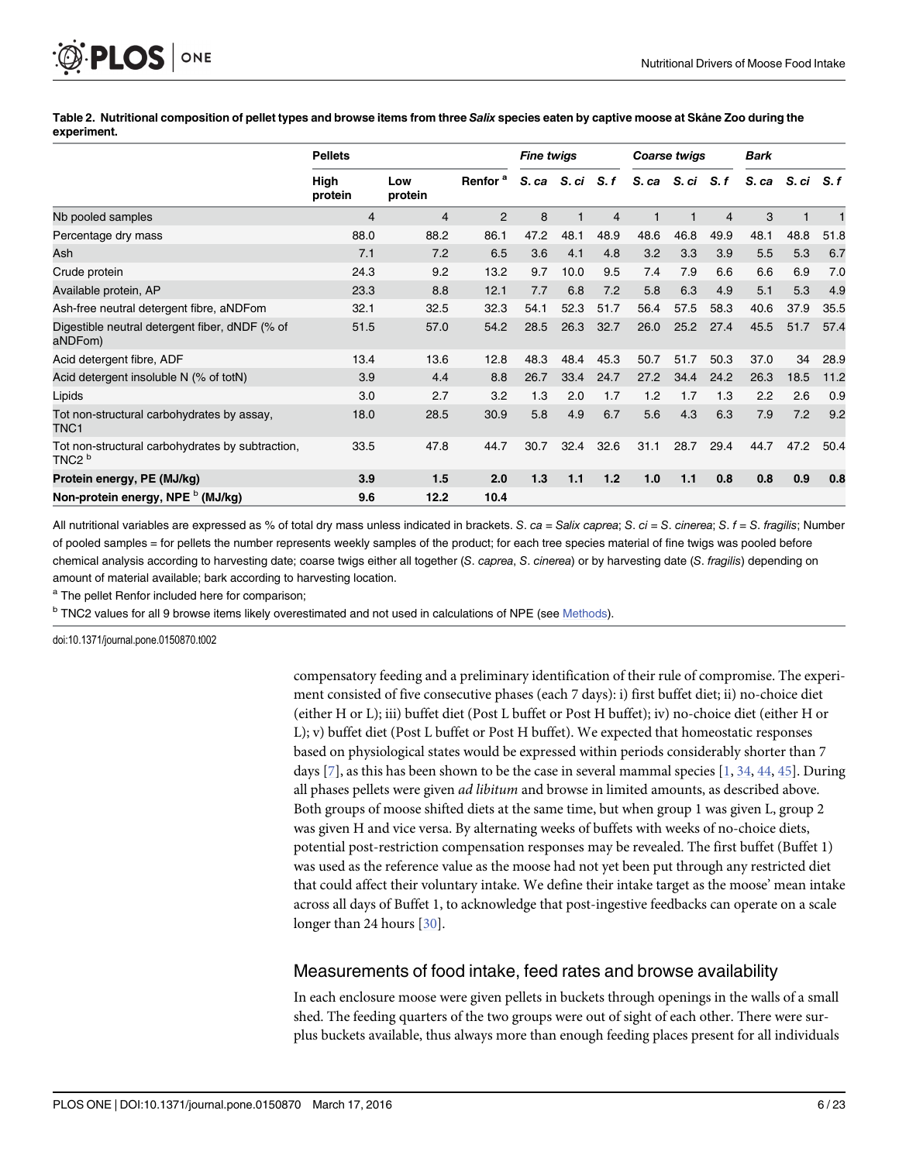<span id="page-5-0"></span>

[Table 2.](#page-4-0) Nutritional composition of pellet types and browse items from three Salix species eaten by captive moose at Skåne Zoo during the experiment.

|                                                                       | <b>Pellets</b>  |                | <b>Fine twigs</b>   |      | Coarse twigs |      | <b>Bark</b> |                 |      |       |       |      |
|-----------------------------------------------------------------------|-----------------|----------------|---------------------|------|--------------|------|-------------|-----------------|------|-------|-------|------|
|                                                                       | High<br>protein | Low<br>protein | Renfor <sup>a</sup> |      | S.ca S.ci    | S.f  |             | S. ca S. ci S.f |      | S. ca | S. ci | S.f  |
| Nb pooled samples                                                     | 4               | 4              | 2                   | 8    |              | 4    | 1           | 1               | 4    | 3     |       |      |
| Percentage dry mass                                                   | 88.0            | 88.2           | 86.1                | 47.2 | 48.1         | 48.9 | 48.6        | 46.8            | 49.9 | 48.1  | 48.8  | 51.8 |
| Ash                                                                   | 7.1             | 7.2            | 6.5                 | 3.6  | 4.1          | 4.8  | 3.2         | 3.3             | 3.9  | 5.5   | 5.3   | 6.7  |
| Crude protein                                                         | 24.3            | 9.2            | 13.2                | 9.7  | 10.0         | 9.5  | 7.4         | 7.9             | 6.6  | 6.6   | 6.9   | 7.0  |
| Available protein, AP                                                 | 23.3            | 8.8            | 12.1                | 7.7  | 6.8          | 7.2  | 5.8         | 6.3             | 4.9  | 5.1   | 5.3   | 4.9  |
| Ash-free neutral detergent fibre, aNDFom                              | 32.1            | 32.5           | 32.3                | 54.1 | 52.3         | 51.7 | 56.4        | 57.5            | 58.3 | 40.6  | 37.9  | 35.5 |
| Digestible neutral detergent fiber, dNDF (% of<br>aNDFom)             | 51.5            | 57.0           | 54.2                | 28.5 | 26.3         | 32.7 | 26.0        | 25.2            | 27.4 | 45.5  | 51.7  | 57.4 |
| Acid detergent fibre, ADF                                             | 13.4            | 13.6           | 12.8                | 48.3 | 48.4         | 45.3 | 50.7        | 51.7            | 50.3 | 37.0  | 34    | 28.9 |
| Acid detergent insoluble N (% of totN)                                | 3.9             | 4.4            | 8.8                 | 26.7 | 33.4         | 24.7 | 27.2        | 34.4            | 24.2 | 26.3  | 18.5  | 11.2 |
| Lipids                                                                | 3.0             | 2.7            | 3.2                 | 1.3  | 2.0          | 1.7  | 1.2         | 1.7             | 1.3  | 2.2   | 2.6   | 0.9  |
| Tot non-structural carbohydrates by assay,<br>TNC <sub>1</sub>        | 18.0            | 28.5           | 30.9                | 5.8  | 4.9          | 6.7  | 5.6         | 4.3             | 6.3  | 7.9   | 7.2   | 9.2  |
| Tot non-structural carbohydrates by subtraction,<br>TNC2 <sup>b</sup> | 33.5            | 47.8           | 44.7                | 30.7 | 32.4         | 32.6 | 31.1        | 28.7            | 29.4 | 44.7  | 47.2  | 50.4 |
| Protein energy, PE (MJ/kg)                                            | 3.9             | 1.5            | 2.0                 | 1.3  | 1.1          | 1.2  | 1.0         | 1.1             | 0.8  | 0.8   | 0.9   | 0.8  |
| Non-protein energy, NPE <sup>b</sup> (MJ/kg)                          | 9.6             | 12.2           | 10.4                |      |              |      |             |                 |      |       |       |      |

All nutritional variables are expressed as % of total dry mass unless indicated in brackets. S. ca = Salix caprea; S. ci = S. cinerea; S. f = S. fragilis; Number of pooled samples = for pellets the number represents weekly samples of the product; for each tree species material of fine twigs was pooled before chemical analysis according to harvesting date; coarse twigs either all together (S. caprea, S. cinerea) or by harvesting date (S. fragilis) depending on amount of material available; bark according to harvesting location.

a The pellet Renfor included here for comparison;

<sup>b</sup> TNC2 values for all 9 browse items likely overestimated and not used in calculations of NPE (see [Methods\)](#page-2-0).

doi:10.1371/journal.pone.0150870.t002

compensatory feeding and a preliminary identification of their rule of compromise. The experiment consisted of five consecutive phases (each 7 days): i) first buffet diet; ii) no-choice diet (either H or L); iii) buffet diet (Post L buffet or Post H buffet); iv) no-choice diet (either H or L); v) buffet diet (Post L buffet or Post H buffet). We expected that homeostatic responses based on physiological states would be expressed within periods considerably shorter than 7 days [\[7](#page-18-0)], as this has been shown to be the case in several mammal species [[1,](#page-18-0) [34,](#page-19-0) [44](#page-20-0), [45](#page-20-0)]. During all phases pellets were given *ad libitum* and browse in limited amounts, as described above. Both groups of moose shifted diets at the same time, but when group 1 was given L, group 2 was given H and vice versa. By alternating weeks of buffets with weeks of no-choice diets, potential post-restriction compensation responses may be revealed. The first buffet (Buffet 1) was used as the reference value as the moose had not yet been put through any restricted diet that could affect their voluntary intake. We define their intake target as the moose' mean intake across all days of Buffet 1, to acknowledge that post-ingestive feedbacks can operate on a scale longer than 24 hours [\[30\]](#page-19-0).

# Measurements of food intake, feed rates and browse availability

In each enclosure moose were given pellets in buckets through openings in the walls of a small shed. The feeding quarters of the two groups were out of sight of each other. There were surplus buckets available, thus always more than enough feeding places present for all individuals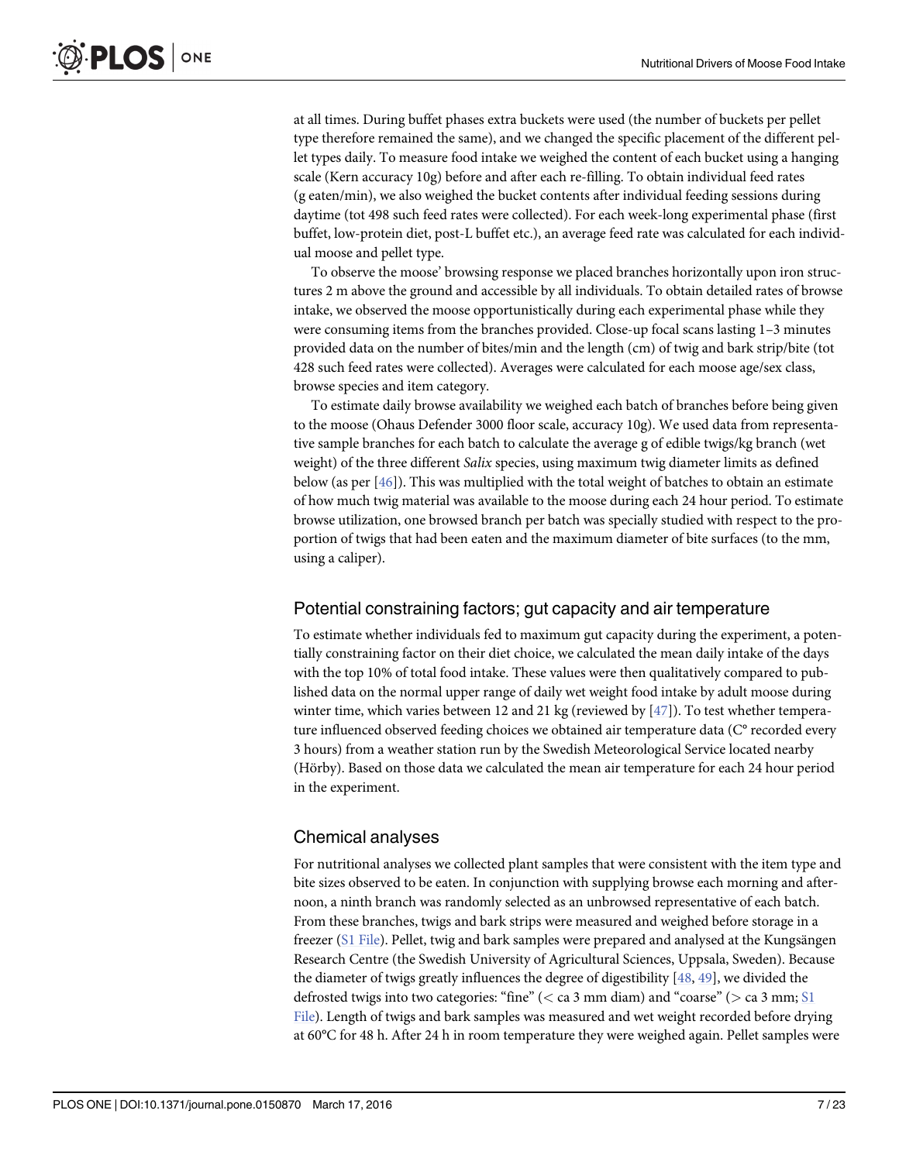<span id="page-6-0"></span>at all times. During buffet phases extra buckets were used (the number of buckets per pellet type therefore remained the same), and we changed the specific placement of the different pellet types daily. To measure food intake we weighed the content of each bucket using a hanging scale (Kern accuracy 10g) before and after each re-filling. To obtain individual feed rates (g eaten/min), we also weighed the bucket contents after individual feeding sessions during daytime (tot 498 such feed rates were collected). For each week-long experimental phase (first buffet, low-protein diet, post-L buffet etc.), an average feed rate was calculated for each individual moose and pellet type.

To observe the moose' browsing response we placed branches horizontally upon iron structures 2 m above the ground and accessible by all individuals. To obtain detailed rates of browse intake, we observed the moose opportunistically during each experimental phase while they were consuming items from the branches provided. Close-up focal scans lasting 1–3 minutes provided data on the number of bites/min and the length (cm) of twig and bark strip/bite (tot 428 such feed rates were collected). Averages were calculated for each moose age/sex class, browse species and item category.

To estimate daily browse availability we weighed each batch of branches before being given to the moose (Ohaus Defender 3000 floor scale, accuracy 10g). We used data from representative sample branches for each batch to calculate the average g of edible twigs/kg branch (wet weight) of the three different *Salix* species, using maximum twig diameter limits as defined below (as per [[46\]](#page-20-0)). This was multiplied with the total weight of batches to obtain an estimate of how much twig material was available to the moose during each 24 hour period. To estimate browse utilization, one browsed branch per batch was specially studied with respect to the proportion of twigs that had been eaten and the maximum diameter of bite surfaces (to the mm, using a caliper).

# Potential constraining factors; gut capacity and air temperature

To estimate whether individuals fed to maximum gut capacity during the experiment, a potentially constraining factor on their diet choice, we calculated the mean daily intake of the days with the top 10% of total food intake. These values were then qualitatively compared to published data on the normal upper range of daily wet weight food intake by adult moose during winter time, which varies between 12 and 21 kg (reviewed by  $[47]$  $[47]$ ). To test whether temperature influenced observed feeding choices we obtained air temperature data (C° recorded every 3 hours) from a weather station run by the Swedish Meteorological Service located nearby (Hörby). Based on those data we calculated the mean air temperature for each 24 hour period in the experiment.

#### Chemical analyses

For nutritional analyses we collected plant samples that were consistent with the item type and bite sizes observed to be eaten. In conjunction with supplying browse each morning and afternoon, a ninth branch was randomly selected as an unbrowsed representative of each batch. From these branches, twigs and bark strips were measured and weighed before storage in a freezer ([S1 File\)](#page-18-0). Pellet, twig and bark samples were prepared and analysed at the Kungsängen Research Centre (the Swedish University of Agricultural Sciences, Uppsala, Sweden). Because the diameter of twigs greatly influences the degree of digestibility  $[48, 49]$  $[48, 49]$  $[48, 49]$  $[48, 49]$  $[48, 49]$ , we divided the defrosted twigs into two categories: "fine" ( $<$  ca 3 mm diam) and "coarse" ( $>$  ca 3 mm; [S1](#page-18-0) [File](#page-18-0)). Length of twigs and bark samples was measured and wet weight recorded before drying at 60°C for 48 h. After 24 h in room temperature they were weighed again. Pellet samples were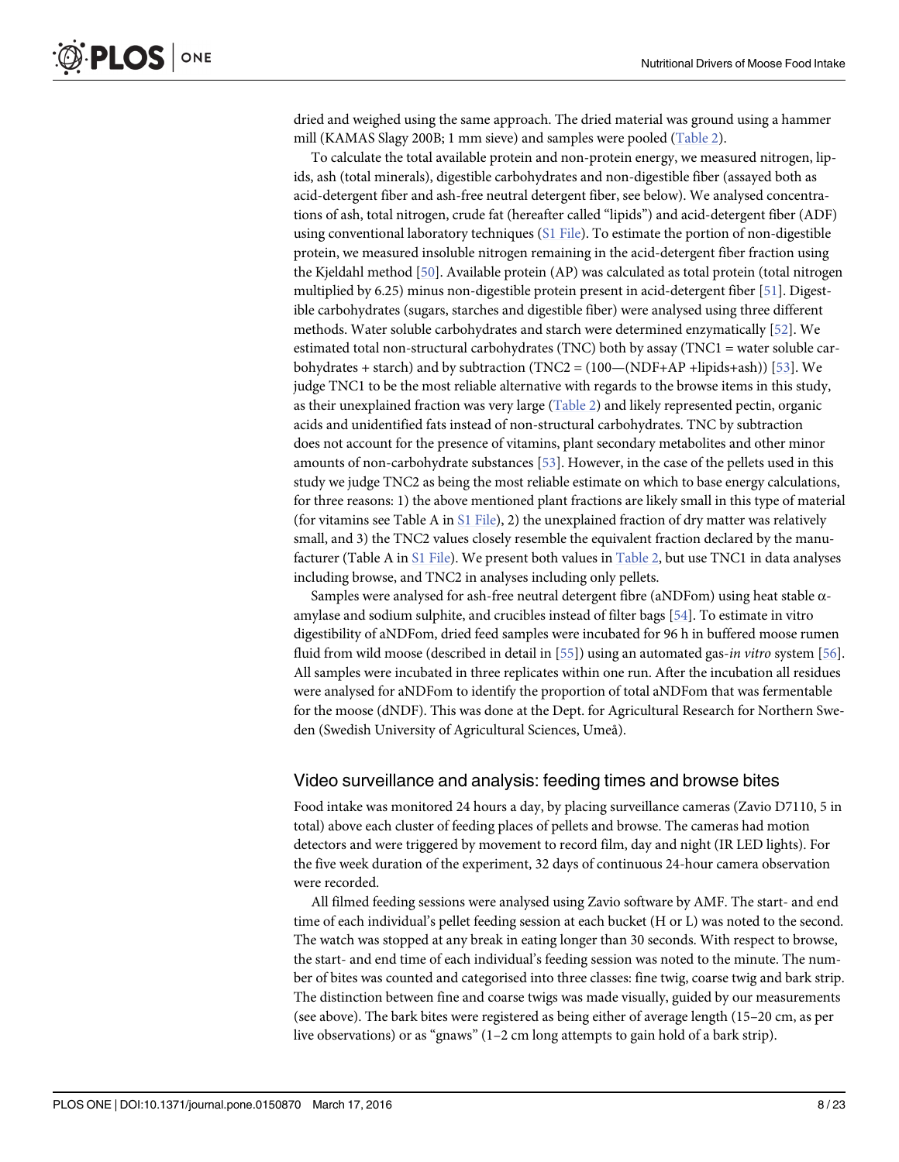<span id="page-7-0"></span>dried and weighed using the same approach. The dried material was ground using a hammer mill (KAMAS Slagy 200B; 1 mm sieve) and samples were pooled [\(Table 2](#page-5-0)).

To calculate the total available protein and non-protein energy, we measured nitrogen, lipids, ash (total minerals), digestible carbohydrates and non-digestible fiber (assayed both as acid-detergent fiber and ash-free neutral detergent fiber, see below). We analysed concentrations of ash, total nitrogen, crude fat (hereafter called "lipids") and acid-detergent fiber (ADF) using conventional laboratory techniques [\(S1 File\)](#page-18-0). To estimate the portion of non-digestible protein, we measured insoluble nitrogen remaining in the acid-detergent fiber fraction using the Kjeldahl method [[50](#page-20-0)]. Available protein (AP) was calculated as total protein (total nitrogen multiplied by 6.25) minus non-digestible protein present in acid-detergent fiber [\[51\]](#page-20-0). Digestible carbohydrates (sugars, starches and digestible fiber) were analysed using three different methods. Water soluble carbohydrates and starch were determined enzymatically [\[52](#page-20-0)]. We estimated total non-structural carbohydrates (TNC) both by assay (TNC1 = water soluble carbohydrates + starch) and by subtraction (TNC2 =  $(100 - (NDF+AP + lipids +ash))$  [[53](#page-20-0)]. We judge TNC1 to be the most reliable alternative with regards to the browse items in this study, as their unexplained fraction was very large ([Table 2](#page-5-0)) and likely represented pectin, organic acids and unidentified fats instead of non-structural carbohydrates. TNC by subtraction does not account for the presence of vitamins, plant secondary metabolites and other minor amounts of non-carbohydrate substances [\[53\]](#page-20-0). However, in the case of the pellets used in this study we judge TNC2 as being the most reliable estimate on which to base energy calculations, for three reasons: 1) the above mentioned plant fractions are likely small in this type of material (for vitamins see Table A in [S1 File\)](#page-18-0), 2) the unexplained fraction of dry matter was relatively small, and 3) the TNC2 values closely resemble the equivalent fraction declared by the manufacturer (Table A in [S1 File\)](#page-18-0). We present both values in [Table 2,](#page-5-0) but use TNC1 in data analyses including browse, and TNC2 in analyses including only pellets.

Samples were analysed for ash-free neutral detergent fibre (aNDFom) using heat stable  $\alpha$ amylase and sodium sulphite, and crucibles instead of filter bags [[54\]](#page-20-0). To estimate in vitro digestibility of aNDFom, dried feed samples were incubated for 96 h in buffered moose rumen fluid from wild moose (described in detail in [\[55](#page-20-0)]) using an automated gas-in vitro system [[56](#page-20-0)]. All samples were incubated in three replicates within one run. After the incubation all residues were analysed for aNDFom to identify the proportion of total aNDFom that was fermentable for the moose (dNDF). This was done at the Dept. for Agricultural Research for Northern Sweden (Swedish University of Agricultural Sciences, Umeå).

#### Video surveillance and analysis: feeding times and browse bites

Food intake was monitored 24 hours a day, by placing surveillance cameras (Zavio D7110, 5 in total) above each cluster of feeding places of pellets and browse. The cameras had motion detectors and were triggered by movement to record film, day and night (IR LED lights). For the five week duration of the experiment, 32 days of continuous 24-hour camera observation were recorded.

All filmed feeding sessions were analysed using Zavio software by AMF. The start- and end time of each individual's pellet feeding session at each bucket (H or L) was noted to the second. The watch was stopped at any break in eating longer than 30 seconds. With respect to browse, the start- and end time of each individual's feeding session was noted to the minute. The number of bites was counted and categorised into three classes: fine twig, coarse twig and bark strip. The distinction between fine and coarse twigs was made visually, guided by our measurements (see above). The bark bites were registered as being either of average length (15–20 cm, as per live observations) or as "gnaws" (1–2 cm long attempts to gain hold of a bark strip).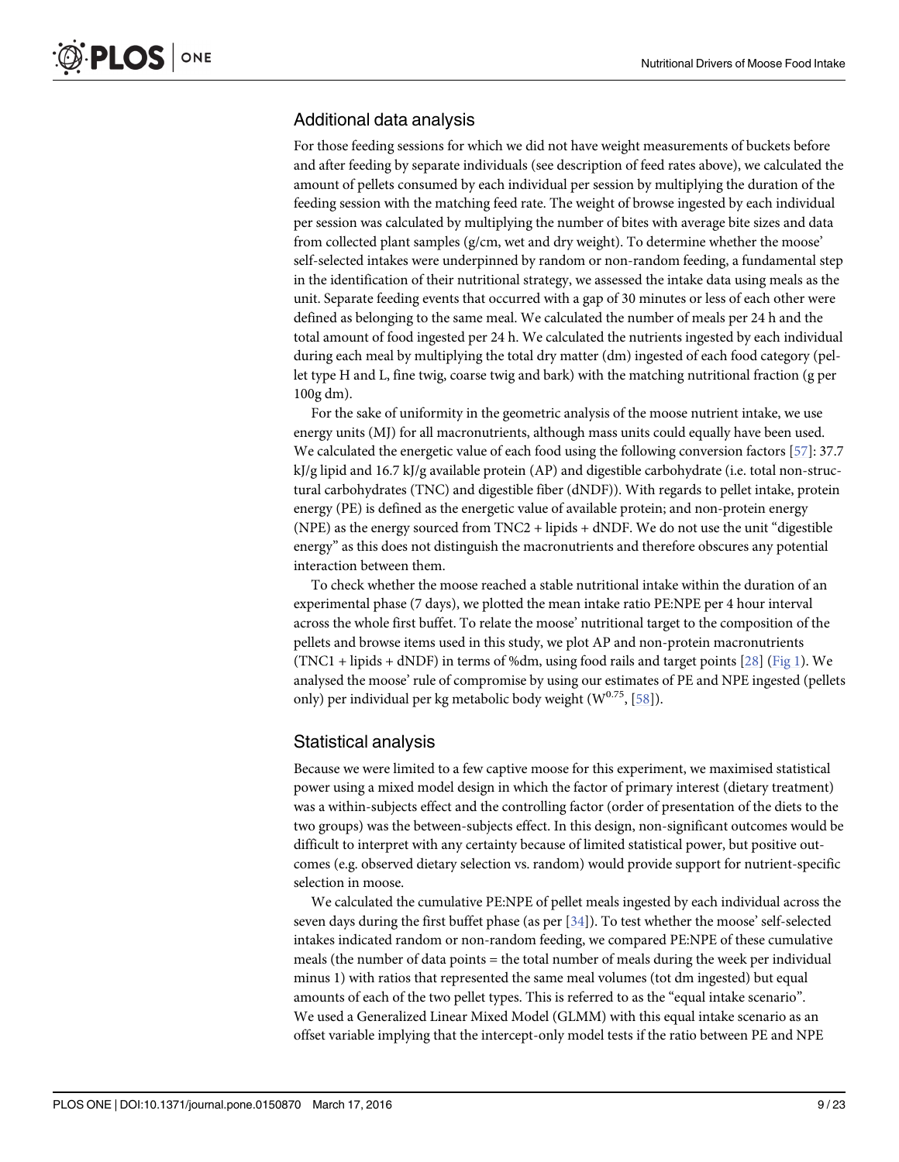# <span id="page-8-0"></span>Additional data analysis

For those feeding sessions for which we did not have weight measurements of buckets before and after feeding by separate individuals (see description of feed rates above), we calculated the amount of pellets consumed by each individual per session by multiplying the duration of the feeding session with the matching feed rate. The weight of browse ingested by each individual per session was calculated by multiplying the number of bites with average bite sizes and data from collected plant samples (g/cm, wet and dry weight). To determine whether the moose' self-selected intakes were underpinned by random or non-random feeding, a fundamental step in the identification of their nutritional strategy, we assessed the intake data using meals as the unit. Separate feeding events that occurred with a gap of 30 minutes or less of each other were defined as belonging to the same meal. We calculated the number of meals per 24 h and the total amount of food ingested per 24 h. We calculated the nutrients ingested by each individual during each meal by multiplying the total dry matter (dm) ingested of each food category (pellet type H and L, fine twig, coarse twig and bark) with the matching nutritional fraction (g per 100g dm).

For the sake of uniformity in the geometric analysis of the moose nutrient intake, we use energy units (MJ) for all macronutrients, although mass units could equally have been used. We calculated the energetic value of each food using the following conversion factors [[57](#page-21-0)]: 37.7 kJ/g lipid and 16.7 kJ/g available protein (AP) and digestible carbohydrate (i.e. total non-structural carbohydrates (TNC) and digestible fiber (dNDF)). With regards to pellet intake, protein energy (PE) is defined as the energetic value of available protein; and non-protein energy (NPE) as the energy sourced from TNC2 + lipids + dNDF. We do not use the unit "digestible energy" as this does not distinguish the macronutrients and therefore obscures any potential interaction between them.

To check whether the moose reached a stable nutritional intake within the duration of an experimental phase (7 days), we plotted the mean intake ratio PE:NPE per 4 hour interval across the whole first buffet. To relate the moose' nutritional target to the composition of the pellets and browse items used in this study, we plot AP and non-protein macronutrients (TNC1 + lipids + dNDF) in terms of %dm, using food rails and target points  $[28]$  $[28]$  [\(Fig 1](#page-3-0)). We analysed the moose' rule of compromise by using our estimates of PE and NPE ingested (pellets only) per individual per kg metabolic body weight  $(W^{0.75}, [58])$  $(W^{0.75}, [58])$  $(W^{0.75}, [58])$ .

# Statistical analysis

Because we were limited to a few captive moose for this experiment, we maximised statistical power using a mixed model design in which the factor of primary interest (dietary treatment) was a within-subjects effect and the controlling factor (order of presentation of the diets to the two groups) was the between-subjects effect. In this design, non-significant outcomes would be difficult to interpret with any certainty because of limited statistical power, but positive outcomes (e.g. observed dietary selection vs. random) would provide support for nutrient-specific selection in moose.

We calculated the cumulative PE:NPE of pellet meals ingested by each individual across the seven days during the first buffet phase (as per  $[34]$  $[34]$  $[34]$ ). To test whether the moose' self-selected intakes indicated random or non-random feeding, we compared PE:NPE of these cumulative meals (the number of data points = the total number of meals during the week per individual minus 1) with ratios that represented the same meal volumes (tot dm ingested) but equal amounts of each of the two pellet types. This is referred to as the "equal intake scenario". We used a Generalized Linear Mixed Model (GLMM) with this equal intake scenario as an offset variable implying that the intercept-only model tests if the ratio between PE and NPE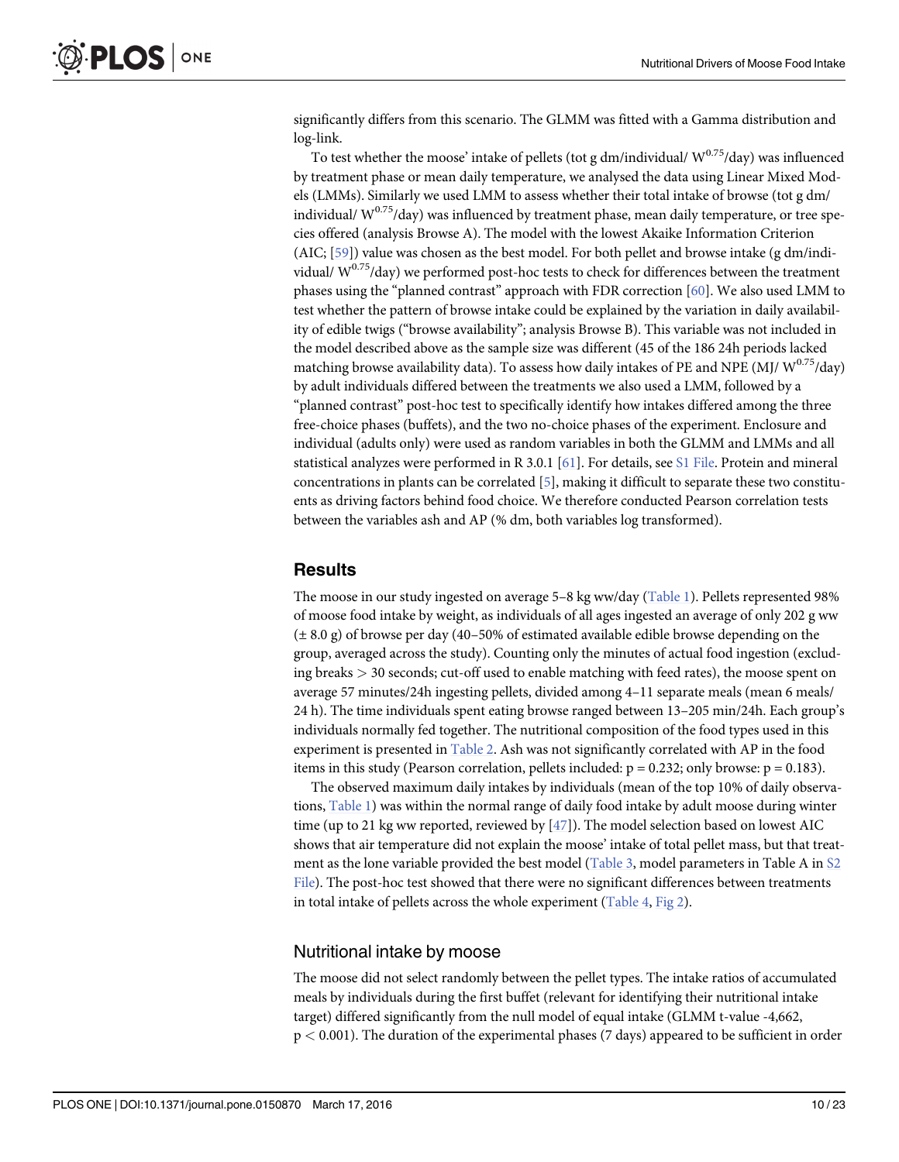<span id="page-9-0"></span>significantly differs from this scenario. The GLMM was fitted with a Gamma distribution and log-link.

To test whether the moose' intake of pellets (tot g dm/individual/  $W^{0.75}/day$ ) was influenced by treatment phase or mean daily temperature, we analysed the data using Linear Mixed Models (LMMs). Similarly we used LMM to assess whether their total intake of browse (tot g dm/ individual/  $W^{0.75}/day$ ) was influenced by treatment phase, mean daily temperature, or tree species offered (analysis Browse A). The model with the lowest Akaike Information Criterion (AIC; [\[59\]](#page-21-0)) value was chosen as the best model. For both pellet and browse intake (g dm/individual/  $W^{0.75}$ /day) we performed post-hoc tests to check for differences between the treatment phases using the "planned contrast" approach with FDR correction [[60](#page-21-0)]. We also used LMM to test whether the pattern of browse intake could be explained by the variation in daily availability of edible twigs ("browse availability"; analysis Browse B). This variable was not included in the model described above as the sample size was different (45 of the 186 24h periods lacked matching browse availability data). To assess how daily intakes of PE and NPE (MJ/  $W^{0.75}/day$ ) by adult individuals differed between the treatments we also used a LMM, followed by a "planned contrast" post-hoc test to specifically identify how intakes differed among the three free-choice phases (buffets), and the two no-choice phases of the experiment. Enclosure and individual (adults only) were used as random variables in both the GLMM and LMMs and all statistical analyzes were performed in R 3.0.1 [[61\]](#page-21-0). For details, see [S1 File.](#page-18-0) Protein and mineral concentrations in plants can be correlated  $[5]$  $[5]$ , making it difficult to separate these two constituents as driving factors behind food choice. We therefore conducted Pearson correlation tests between the variables ash and AP (% dm, both variables log transformed).

# Results

The moose in our study ingested on average 5-8 kg ww/day [\(Table 1](#page-4-0)). Pellets represented 98% of moose food intake by weight, as individuals of all ages ingested an average of only 202 g ww  $(\pm 8.0 \text{ g})$  of browse per day (40–50% of estimated available edible browse depending on the group, averaged across the study). Counting only the minutes of actual food ingestion (excluding breaks > 30 seconds; cut-off used to enable matching with feed rates), the moose spent on average 57 minutes/24h ingesting pellets, divided among 4–11 separate meals (mean 6 meals/ 24 h). The time individuals spent eating browse ranged between 13–205 min/24h. Each group's individuals normally fed together. The nutritional composition of the food types used in this experiment is presented in [Table 2](#page-5-0). Ash was not significantly correlated with AP in the food items in this study (Pearson correlation, pellets included:  $p = 0.232$ ; only browse:  $p = 0.183$ ).

The observed maximum daily intakes by individuals (mean of the top 10% of daily observations, [Table 1](#page-4-0)) was within the normal range of daily food intake by adult moose during winter time (up to 21 kg ww reported, reviewed by  $[47]$  $[47]$ ). The model selection based on lowest AIC shows that air temperature did not explain the moose' intake of total pellet mass, but that treatment as the lone variable provided the best model ([Table 3](#page-10-0), model parameters in Table A in [S2](#page-18-0) [File](#page-18-0)). The post-hoc test showed that there were no significant differences between treatments in total intake of pellets across the whole experiment ([Table 4](#page-10-0), [Fig 2\)](#page-11-0).

# Nutritional intake by moose

The moose did not select randomly between the pellet types. The intake ratios of accumulated meals by individuals during the first buffet (relevant for identifying their nutritional intake target) differed significantly from the null model of equal intake (GLMM t-value -4,662, p < 0.001). The duration of the experimental phases (7 days) appeared to be sufficient in order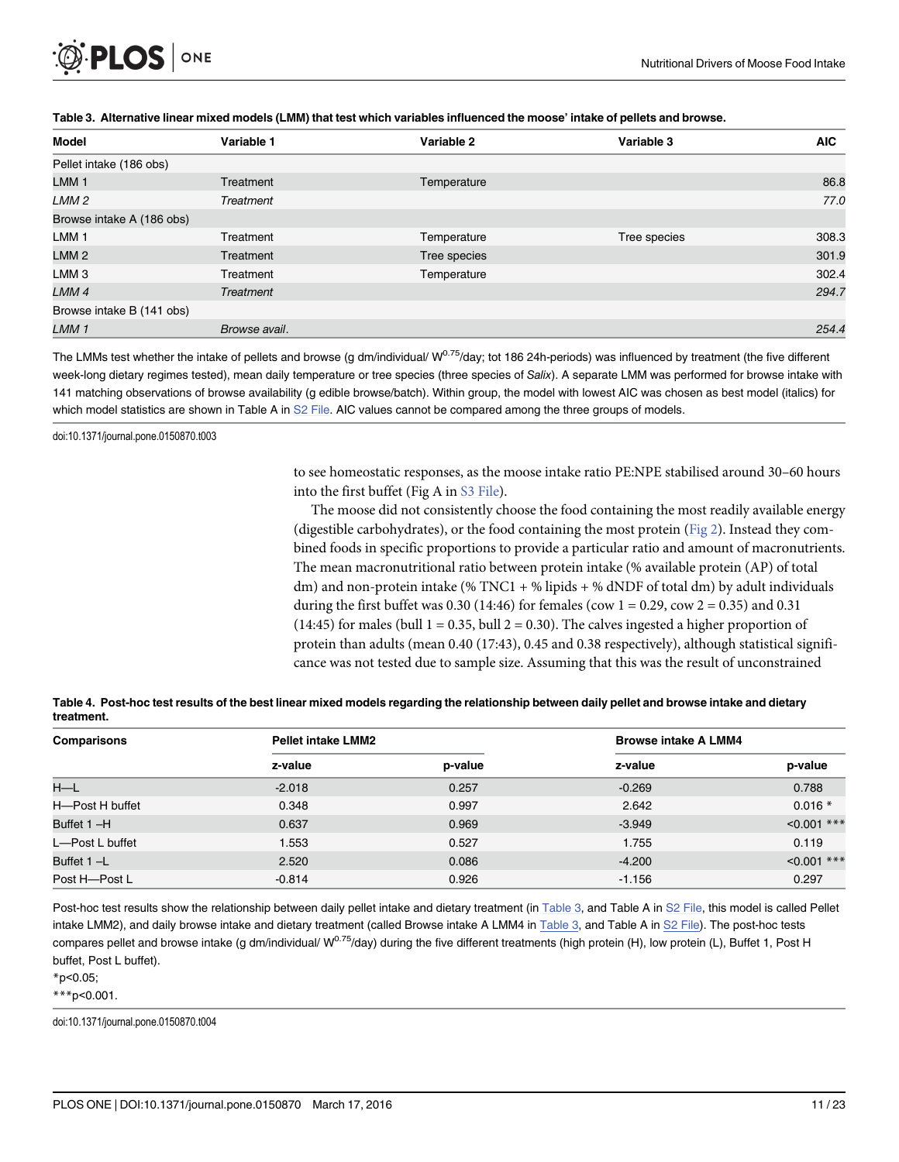<span id="page-10-0"></span>

| <b>Model</b>              | Variable 1    | Variable 2   | Variable 3   | <b>AIC</b> |
|---------------------------|---------------|--------------|--------------|------------|
| Pellet intake (186 obs)   |               |              |              |            |
| LMM <sub>1</sub>          | Treatment     | Temperature  |              | 86.8       |
| LMM 2                     | Treatment     |              |              | 77.0       |
| Browse intake A (186 obs) |               |              |              |            |
| LMM <sub>1</sub>          | Treatment     | Temperature  | Tree species | 308.3      |
| LMM <sub>2</sub>          | Treatment     | Tree species |              | 301.9      |
| LMM 3                     | Treatment     | Temperature  |              | 302.4      |
| LMM 4                     | Treatment     |              |              | 294.7      |
| Browse intake B (141 obs) |               |              |              |            |
| LMM 1                     | Browse avail. |              |              | 254.4      |

#### [Table 3.](#page-9-0) Alternative linear mixed models (LMM) that test which variables influenced the moose' intake of pellets and browse.

The LMMs test whether the intake of pellets and browse (g dm/individual/  $W^{0.75}$ /day; tot 186 24h-periods) was influenced by treatment (the five different week-long dietary regimes tested), mean daily temperature or tree species (three species of Salix). A separate LMM was performed for browse intake with 141 matching observations of browse availability (g edible browse/batch). Within group, the model with lowest AIC was chosen as best model (italics) for which model statistics are shown in Table A in  $S2$  File. AIC values cannot be compared among the three groups of models.

doi:10.1371/journal.pone.0150870.t003

to see homeostatic responses, as the moose intake ratio PE:NPE stabilised around 30–60 hours into the first buffet (Fig A in [S3 File\)](#page-18-0).

The moose did not consistently choose the food containing the most readily available energy (digestible carbohydrates), or the food containing the most protein [\(Fig 2\)](#page-11-0). Instead they combined foods in specific proportions to provide a particular ratio and amount of macronutrients. The mean macronutritional ratio between protein intake (% available protein (AP) of total dm) and non-protein intake (% TNC1 + % lipids + % dNDF of total dm) by adult individuals during the first buffet was  $0.30$  (14:46) for females (cow  $1 = 0.29$ , cow  $2 = 0.35$ ) and  $0.31$ (14:45) for males (bull  $1 = 0.35$ , bull  $2 = 0.30$ ). The calves ingested a higher proportion of protein than adults (mean 0.40 (17:43), 0.45 and 0.38 respectively), although statistical significance was not tested due to sample size. Assuming that this was the result of unconstrained

| Table 4. Post-hoc test results of the best linear mixed models regarding the relationship between daily pellet and browse intake and dietary |  |
|----------------------------------------------------------------------------------------------------------------------------------------------|--|
| treatment.                                                                                                                                   |  |

| Comparisons     | <b>Pellet intake LMM2</b> |         | <b>Browse intake A LMM4</b> |               |  |  |
|-----------------|---------------------------|---------|-----------------------------|---------------|--|--|
|                 | z-value                   | p-value | z-value                     | p-value       |  |  |
| $H$ —L          | $-2.018$                  | 0.257   | $-0.269$                    | 0.788         |  |  |
| H-Post H buffet | 0.348                     | 0.997   | 2.642                       | $0.016*$      |  |  |
| Buffet 1-H      | 0.637                     | 0.969   | $-3.949$                    | $< 0.001$ *** |  |  |
| L—Post L buffet | 1.553                     | 0.527   | 1.755                       | 0.119         |  |  |
| Buffet 1-L      | 2.520                     | 0.086   | $-4.200$                    | $< 0.001$ *** |  |  |
| Post H-Post L   | $-0.814$                  | 0.926   | $-1.156$                    | 0.297         |  |  |

Post-hoc test results show the relationship between daily pellet intake and dietary treatment (in Table 3, and Table A in [S2 File](#page-18-0), this model is called Pellet intake LMM2), and daily browse intake and dietary treatment (called Browse intake A LMM4 in Table 3, and Table A in [S2 File\)](#page-18-0). The post-hoc tests compares pellet and browse intake (g dm/individual/ W<sup>0.75</sup>/day) during the five different treatments (high protein (H), low protein (L), Buffet 1, Post H buffet, Post L buffet).

\*p<0.05;

\*\*\*p<0.001.

doi:10.1371/journal.pone.0150870.t004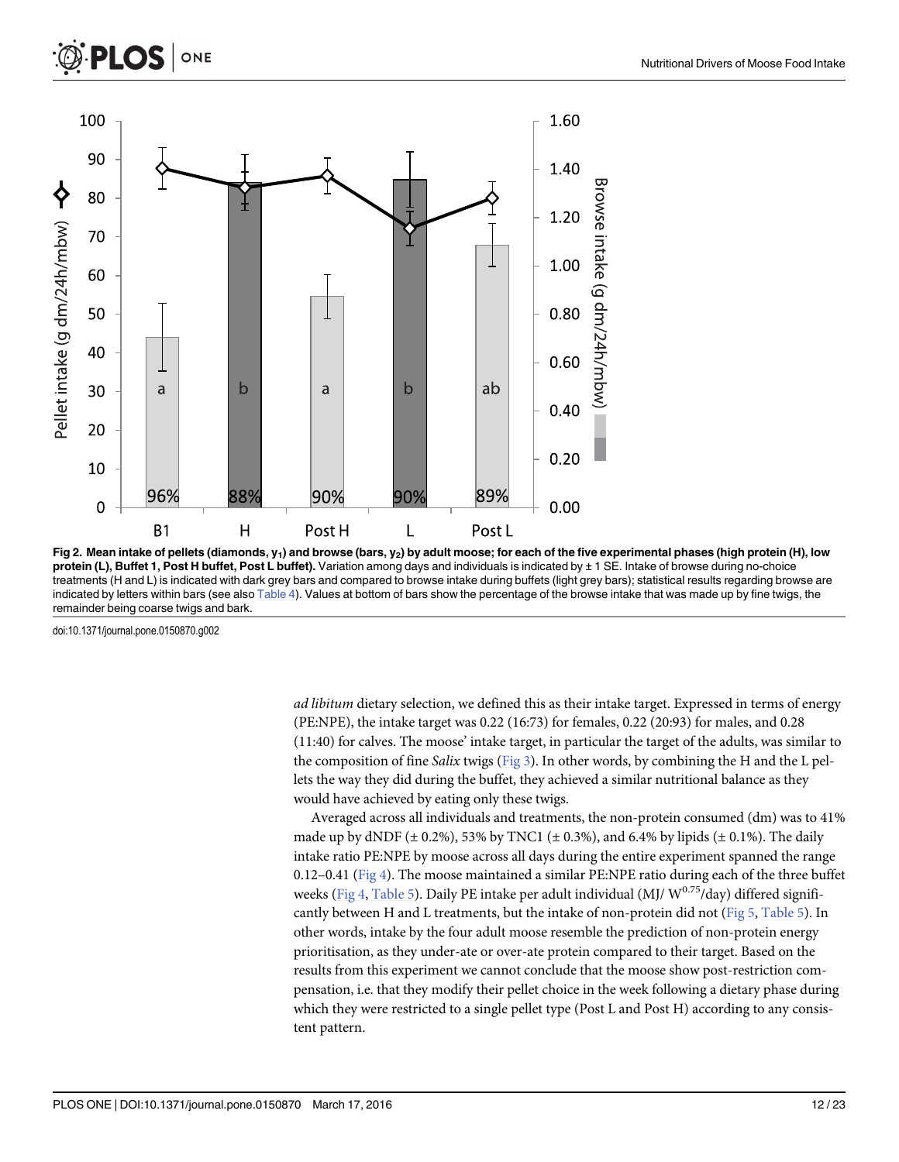<span id="page-11-0"></span>



[Fig 2. M](#page-9-0)ean intake of pellets (diamonds, y<sub>1</sub>) and browse (bars, y<sub>2</sub>) by adult moose; for each of the five experimental phases (high protein (H), low protein (L), Buffet 1, Post H buffet, Post L buffet). Variation among days and individuals is indicated by ± 1 SE. Intake of browse during no-choice treatments (H and L) is indicated with dark grey bars and compared to browse intake during buffets (light grey bars); statistical results regarding browse are indicated by letters within bars (see also [Table 4](#page-10-0)). Values at bottom of bars show the percentage of the browse intake that was made up by fine twigs, the remainder being coarse twigs and bark.

doi:10.1371/journal.pone.0150870.g002

ad libitum dietary selection, we defined this as their intake target. Expressed in terms of energy (PE:NPE), the intake target was 0.22 (16:73) for females, 0.22 (20:93) for males, and 0.28 (11:40) for calves. The moose' intake target, in particular the target of the adults, was similar to the composition of fine Salix twigs ([Fig 3](#page-12-0)). In other words, by combining the H and the L pellets the way they did during the buffet, they achieved a similar nutritional balance as they would have achieved by eating only these twigs.

Averaged across all individuals and treatments, the non-protein consumed (dm) was to 41% made up by dNDF ( $\pm$  0.2%), 53% by TNC1 ( $\pm$  0.3%), and 6.4% by lipids ( $\pm$  0.1%). The daily intake ratio PE:NPE by moose across all days during the entire experiment spanned the range 0.12–0.41 ([Fig 4](#page-13-0)). The moose maintained a similar PE:NPE ratio during each of the three buffet weeks [\(Fig 4,](#page-13-0) [Table 5](#page-13-0)). Daily PE intake per adult individual (MJ/  $W^{0.75}$ /day) differed significantly between H and L treatments, but the intake of non-protein did not ([Fig 5](#page-14-0), [Table 5\)](#page-13-0). In other words, intake by the four adult moose resemble the prediction of non-protein energy prioritisation, as they under-ate or over-ate protein compared to their target. Based on the results from this experiment we cannot conclude that the moose show post-restriction compensation, i.e. that they modify their pellet choice in the week following a dietary phase during which they were restricted to a single pellet type (Post L and Post H) according to any consistent pattern.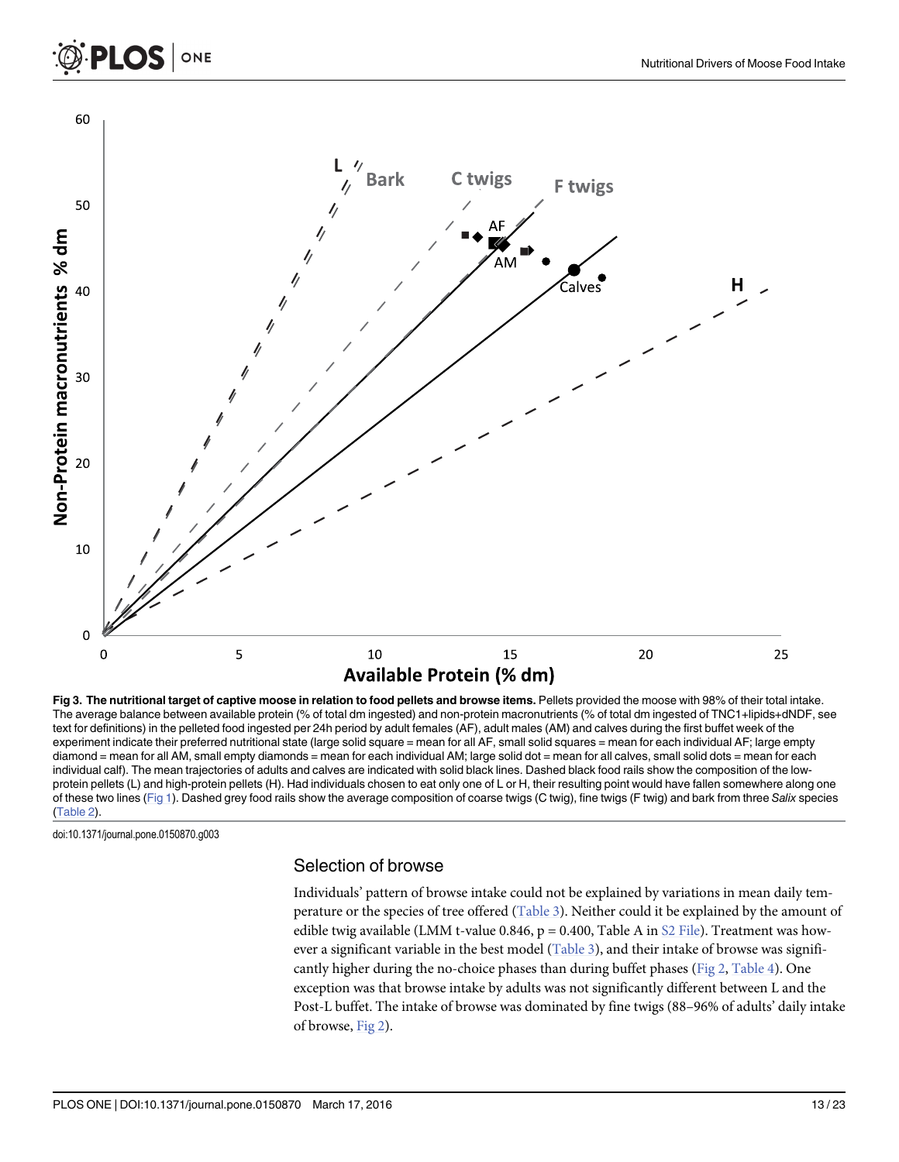<span id="page-12-0"></span>

[Fig 3. T](#page-11-0)he nutritional target of captive moose in relation to food pellets and browse items. Pellets provided the moose with 98% of their total intake. The average balance between available protein (% of total dm ingested) and non-protein macronutrients (% of total dm ingested of TNC1+lipids+dNDF, see text for definitions) in the pelleted food ingested per 24h period by adult females (AF), adult males (AM) and calves during the first buffet week of the experiment indicate their preferred nutritional state (large solid square = mean for all AF, small solid squares = mean for each individual AF; large empty diamond = mean for all AM, small empty diamonds = mean for each individual AM; large solid dot = mean for all calves, small solid dots = mean for each individual calf). The mean trajectories of adults and calves are indicated with solid black lines. Dashed black food rails show the composition of the lowprotein pellets (L) and high-protein pellets (H). Had individuals chosen to eat only one of L or H, their resulting point would have fallen somewhere along one of these two lines [\(Fig 1](#page-3-0)). Dashed grey food rails show the average composition of coarse twigs (C twig), fine twigs (F twig) and bark from three Salix species ([Table 2\)](#page-5-0).

doi:10.1371/journal.pone.0150870.g003

# Selection of browse

Individuals' pattern of browse intake could not be explained by variations in mean daily tem-perature or the species of tree offered [\(Table 3](#page-10-0)). Neither could it be explained by the amount of edible twig available (LMM t-value 0.846,  $p = 0.400$ , Table A in  $S2$  File). Treatment was however a significant variable in the best model  $(Table 3)$  $(Table 3)$ , and their intake of browse was signifi-cantly higher during the no-choice phases than during buffet phases ([Fig 2](#page-11-0), [Table 4\)](#page-10-0). One exception was that browse intake by adults was not significantly different between L and the Post-L buffet. The intake of browse was dominated by fine twigs (88–96% of adults' daily intake of browse, [Fig 2](#page-11-0)).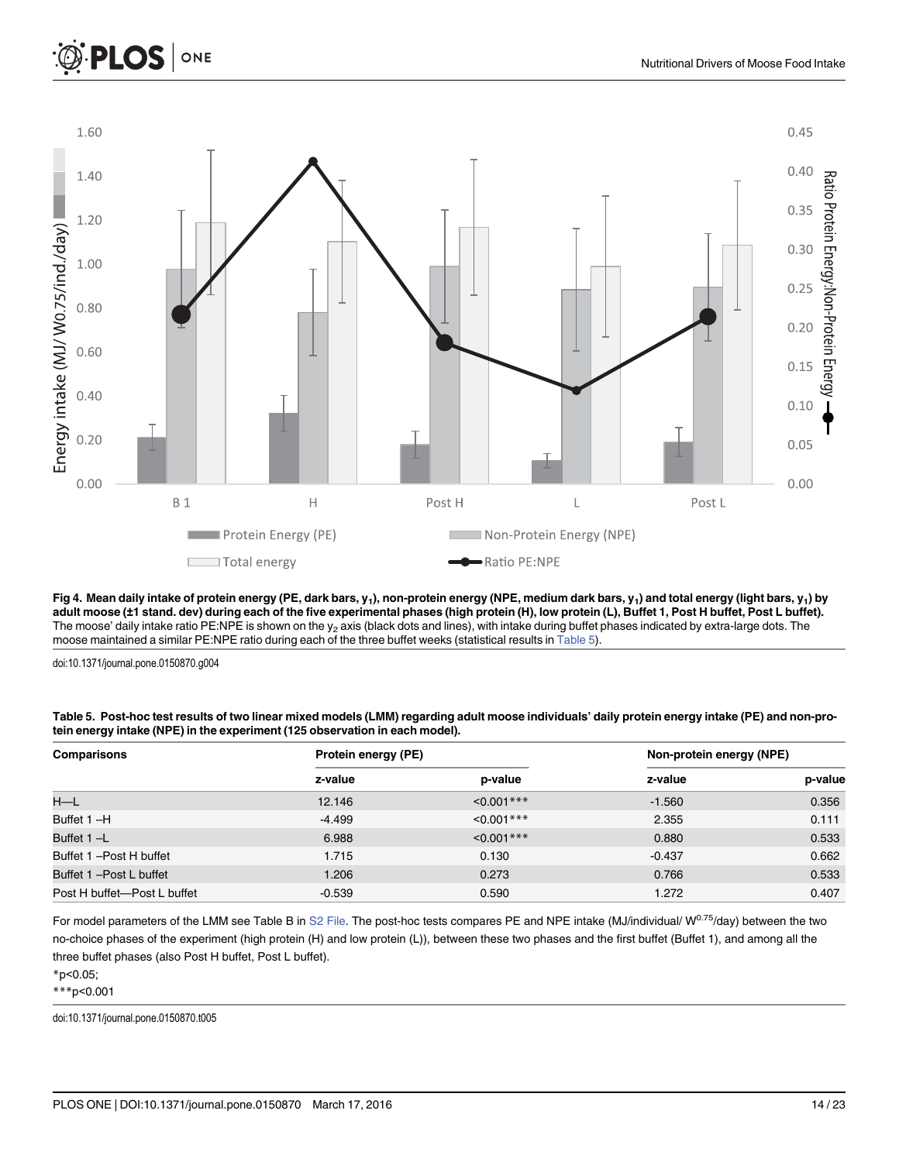<span id="page-13-0"></span>

[Fig 4. M](#page-11-0)ean daily intake of protein energy (PE, dark bars, y<sub>1</sub>), non-protein energy (NPE, medium dark bars, y<sub>1</sub>) and total energy (light bars, y<sub>1</sub>) by adult moose (±1 stand. dev) during each of the five experimental phases (high protein (H), low protein (L), Buffet 1, Post H buffet, Post L buffet). The moose' daily intake ratio PE:NPE is shown on the  $y_2$  axis (black dots and lines), with intake during buffet phases indicated by extra-large dots. The moose maintained a similar PE:NPE ratio during each of the three buffet weeks (statistical results in Table 5).

doi:10.1371/journal.pone.0150870.g004

ONE

**PLOS I** 

[Table 5.](#page-11-0) Post-hoc test results of two linear mixed models (LMM) regarding adult moose individuals' daily protein energy intake (PE) and non-protein energy intake (NPE) in the experiment (125 observation in each model).

| <b>Comparisons</b>           | Protein energy (PE) |               | Non-protein energy (NPE) |         |  |
|------------------------------|---------------------|---------------|--------------------------|---------|--|
|                              | z-value             | p-value       | z-value                  | p-value |  |
| $H-L$                        | 12.146              | $< 0.001$ *** | $-1.560$                 | 0.356   |  |
| Buffet 1-H                   | $-4.499$            | $< 0.001$ *** | 2.355                    | 0.111   |  |
| Buffet 1-L                   | 6.988               | $< 0.001$ *** | 0.880                    | 0.533   |  |
| Buffet 1-Post H buffet       | 1.715               | 0.130         | $-0.437$                 | 0.662   |  |
| Buffet 1-Post L buffet       | 1.206               | 0.273         | 0.766                    | 0.533   |  |
| Post H buffet--Post L buffet | $-0.539$            | 0.590         | 1.272                    | 0.407   |  |

For model parameters of the LMM see Table B in [S2 File](#page-18-0). The post-hoc tests compares PE and NPE intake (MJ/individual/ W<sup>0.75</sup>/day) between the two no-choice phases of the experiment (high protein (H) and low protein (L)), between these two phases and the first buffet (Buffet 1), and among all the three buffet phases (also Post H buffet, Post L buffet).

\*p<0.05;

\*\*\*p<0.001

doi:10.1371/journal.pone.0150870.t005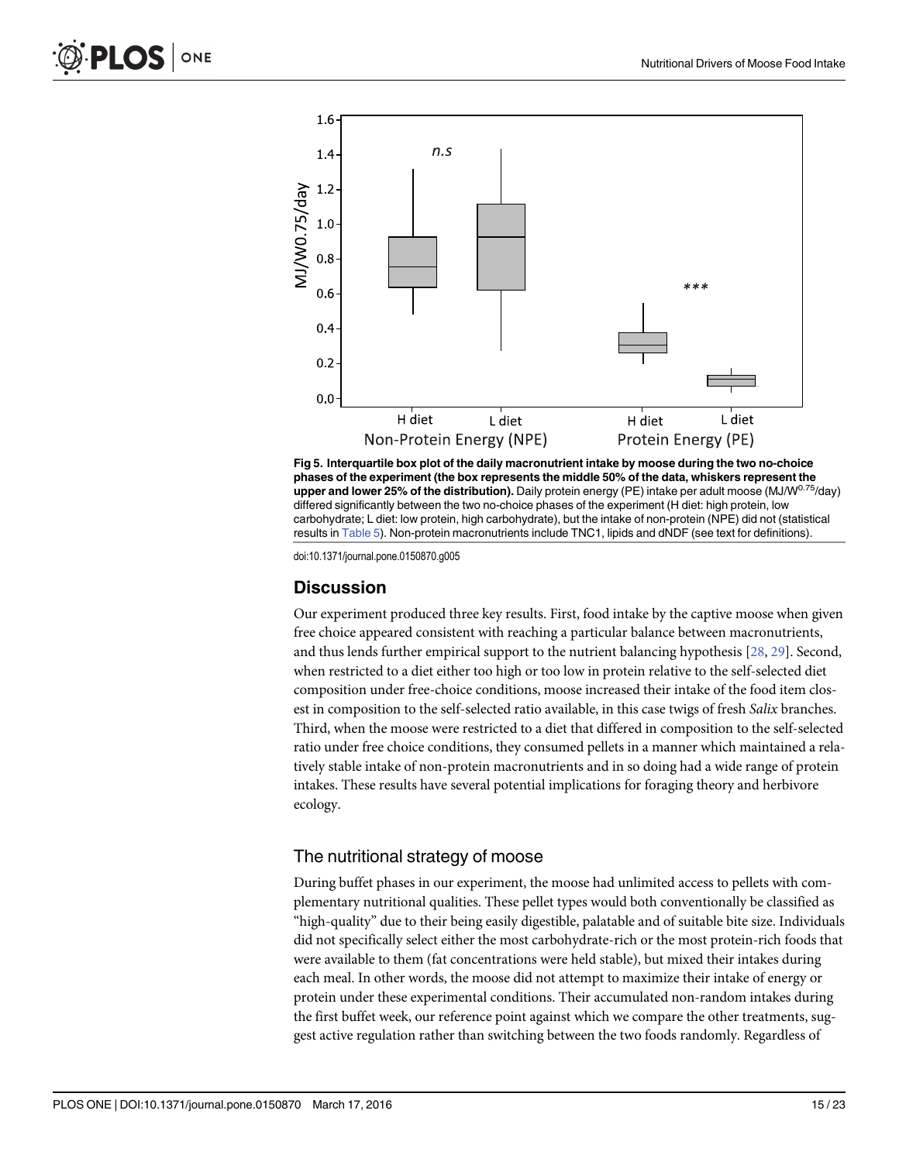<span id="page-14-0"></span>



doi:10.1371/journal.pone.0150870.g005

#### **Discussion**

Our experiment produced three key results. First, food intake by the captive moose when given free choice appeared consistent with reaching a particular balance between macronutrients, and thus lends further empirical support to the nutrient balancing hypothesis [\[28,](#page-19-0) [29\]](#page-19-0). Second, when restricted to a diet either too high or too low in protein relative to the self-selected diet composition under free-choice conditions, moose increased their intake of the food item closest in composition to the self-selected ratio available, in this case twigs of fresh Salix branches. Third, when the moose were restricted to a diet that differed in composition to the self-selected ratio under free choice conditions, they consumed pellets in a manner which maintained a relatively stable intake of non-protein macronutrients and in so doing had a wide range of protein intakes. These results have several potential implications for foraging theory and herbivore ecology.

#### The nutritional strategy of moose

During buffet phases in our experiment, the moose had unlimited access to pellets with complementary nutritional qualities. These pellet types would both conventionally be classified as "high-quality" due to their being easily digestible, palatable and of suitable bite size. Individuals did not specifically select either the most carbohydrate-rich or the most protein-rich foods that were available to them (fat concentrations were held stable), but mixed their intakes during each meal. In other words, the moose did not attempt to maximize their intake of energy or protein under these experimental conditions. Their accumulated non-random intakes during the first buffet week, our reference point against which we compare the other treatments, suggest active regulation rather than switching between the two foods randomly. Regardless of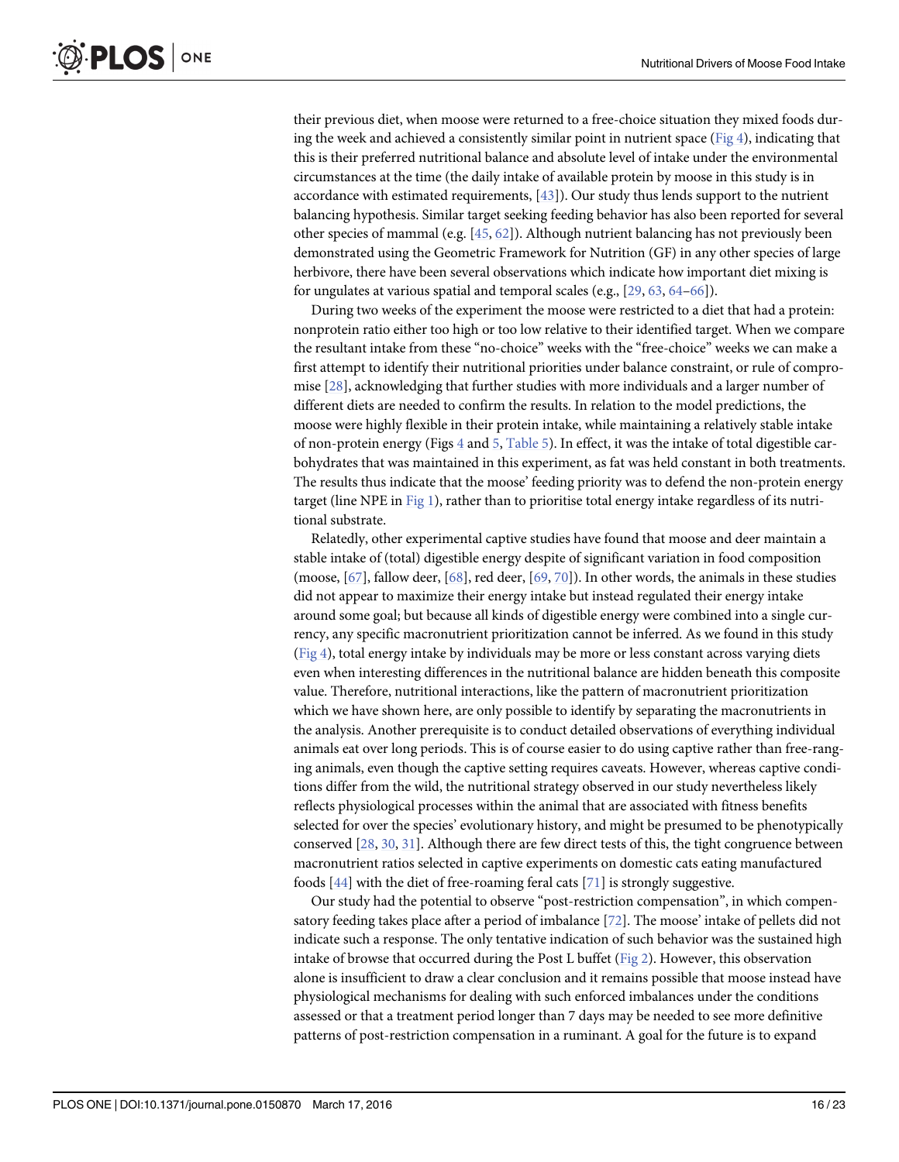<span id="page-15-0"></span>their previous diet, when moose were returned to a free-choice situation they mixed foods during the week and achieved a consistently similar point in nutrient space ( $Fig 4$ ), indicating that this is their preferred nutritional balance and absolute level of intake under the environmental circumstances at the time (the daily intake of available protein by moose in this study is in accordance with estimated requirements, [\[43\]](#page-20-0)). Our study thus lends support to the nutrient balancing hypothesis. Similar target seeking feeding behavior has also been reported for several other species of mammal (e.g. [\[45](#page-20-0), [62\]](#page-21-0)). Although nutrient balancing has not previously been demonstrated using the Geometric Framework for Nutrition (GF) in any other species of large herbivore, there have been several observations which indicate how important diet mixing is for ungulates at various spatial and temporal scales (e.g., [[29](#page-19-0), [63](#page-21-0), [64](#page-21-0)–[66\]](#page-21-0)).

During two weeks of the experiment the moose were restricted to a diet that had a protein: nonprotein ratio either too high or too low relative to their identified target. When we compare the resultant intake from these "no-choice" weeks with the "free-choice" weeks we can make a first attempt to identify their nutritional priorities under balance constraint, or rule of compromise [\[28\]](#page-19-0), acknowledging that further studies with more individuals and a larger number of different diets are needed to confirm the results. In relation to the model predictions, the moose were highly flexible in their protein intake, while maintaining a relatively stable intake of non-protein energy (Figs  $4$  and  $5$ , Table  $5$ ). In effect, it was the intake of total digestible carbohydrates that was maintained in this experiment, as fat was held constant in both treatments. The results thus indicate that the moose' feeding priority was to defend the non-protein energy target (line NPE in  $Fig 1$ ), rather than to prioritise total energy intake regardless of its nutritional substrate.

Relatedly, other experimental captive studies have found that moose and deer maintain a stable intake of (total) digestible energy despite of significant variation in food composition (moose, [\[67\]](#page-21-0), fallow deer, [[68\]](#page-21-0), red deer, [[69](#page-21-0), [70](#page-21-0)]). In other words, the animals in these studies did not appear to maximize their energy intake but instead regulated their energy intake around some goal; but because all kinds of digestible energy were combined into a single currency, any specific macronutrient prioritization cannot be inferred. As we found in this study [\(Fig 4\)](#page-13-0), total energy intake by individuals may be more or less constant across varying diets even when interesting differences in the nutritional balance are hidden beneath this composite value. Therefore, nutritional interactions, like the pattern of macronutrient prioritization which we have shown here, are only possible to identify by separating the macronutrients in the analysis. Another prerequisite is to conduct detailed observations of everything individual animals eat over long periods. This is of course easier to do using captive rather than free-ranging animals, even though the captive setting requires caveats. However, whereas captive conditions differ from the wild, the nutritional strategy observed in our study nevertheless likely reflects physiological processes within the animal that are associated with fitness benefits selected for over the species' evolutionary history, and might be presumed to be phenotypically conserved [[28](#page-19-0), [30](#page-19-0), [31](#page-19-0)]. Although there are few direct tests of this, the tight congruence between macronutrient ratios selected in captive experiments on domestic cats eating manufactured foods [\[44](#page-20-0)] with the diet of free-roaming feral cats [[71](#page-21-0)] is strongly suggestive.

Our study had the potential to observe "post-restriction compensation", in which compensatory feeding takes place after a period of imbalance [\[72\]](#page-21-0). The moose' intake of pellets did not indicate such a response. The only tentative indication of such behavior was the sustained high intake of browse that occurred during the Post L buffet ( $Fig 2$ ). However, this observation alone is insufficient to draw a clear conclusion and it remains possible that moose instead have physiological mechanisms for dealing with such enforced imbalances under the conditions assessed or that a treatment period longer than 7 days may be needed to see more definitive patterns of post-restriction compensation in a ruminant. A goal for the future is to expand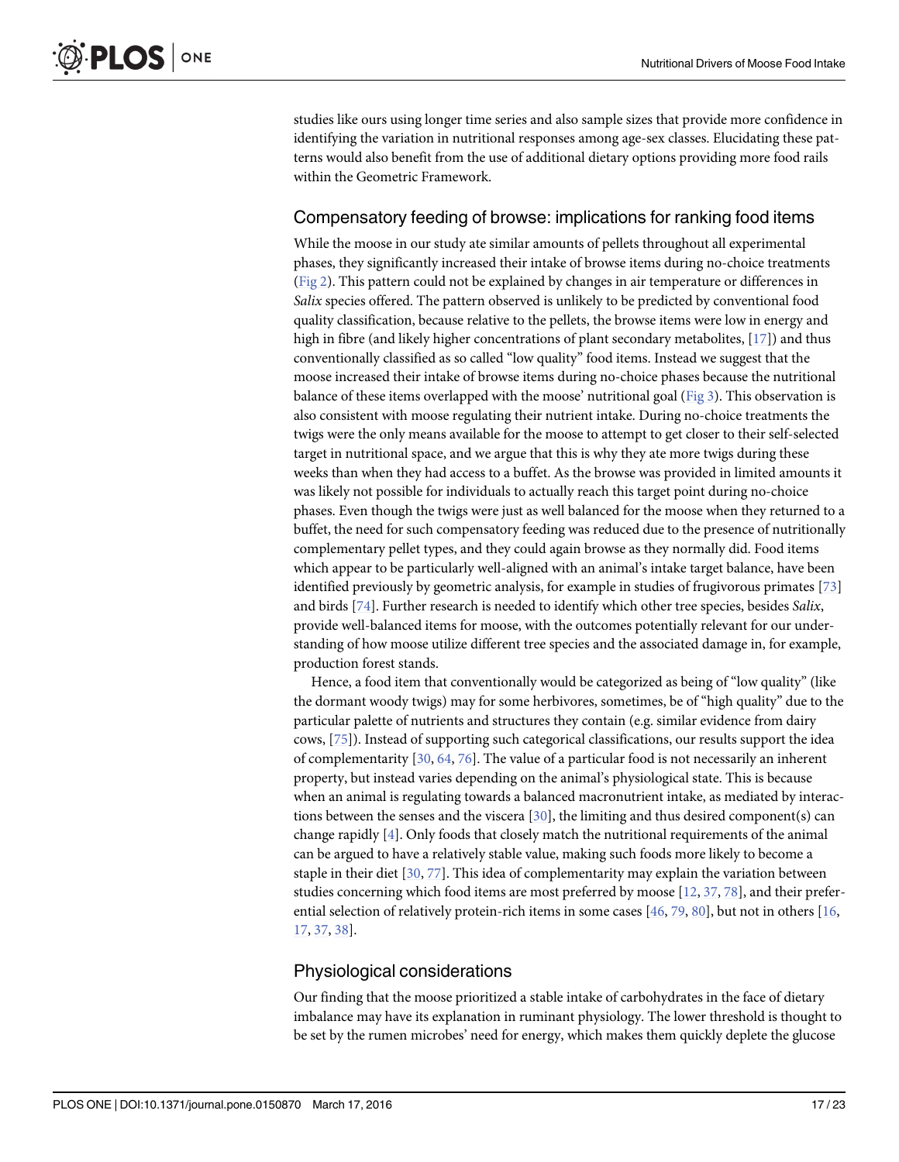<span id="page-16-0"></span>studies like ours using longer time series and also sample sizes that provide more confidence in identifying the variation in nutritional responses among age-sex classes. Elucidating these patterns would also benefit from the use of additional dietary options providing more food rails within the Geometric Framework.

#### Compensatory feeding of browse: implications for ranking food items

While the moose in our study ate similar amounts of pellets throughout all experimental phases, they significantly increased their intake of browse items during no-choice treatments [\(Fig 2\)](#page-11-0). This pattern could not be explained by changes in air temperature or differences in Salix species offered. The pattern observed is unlikely to be predicted by conventional food quality classification, because relative to the pellets, the browse items were low in energy and high in fibre (and likely higher concentrations of plant secondary metabolites,  $[17]$  $[17]$  $[17]$ ) and thus conventionally classified as so called "low quality" food items. Instead we suggest that the moose increased their intake of browse items during no-choice phases because the nutritional balance of these items overlapped with the moose' nutritional goal ( $Fig 3$ ). This observation is also consistent with moose regulating their nutrient intake. During no-choice treatments the twigs were the only means available for the moose to attempt to get closer to their self-selected target in nutritional space, and we argue that this is why they ate more twigs during these weeks than when they had access to a buffet. As the browse was provided in limited amounts it was likely not possible for individuals to actually reach this target point during no-choice phases. Even though the twigs were just as well balanced for the moose when they returned to a buffet, the need for such compensatory feeding was reduced due to the presence of nutritionally complementary pellet types, and they could again browse as they normally did. Food items which appear to be particularly well-aligned with an animal's intake target balance, have been identified previously by geometric analysis, for example in studies of frugivorous primates [[73](#page-21-0)] and birds [[74\]](#page-21-0). Further research is needed to identify which other tree species, besides Salix, provide well-balanced items for moose, with the outcomes potentially relevant for our understanding of how moose utilize different tree species and the associated damage in, for example, production forest stands.

Hence, a food item that conventionally would be categorized as being of "low quality" (like the dormant woody twigs) may for some herbivores, sometimes, be of "high quality" due to the particular palette of nutrients and structures they contain (e.g. similar evidence from dairy cows, [\[75](#page-21-0)]). Instead of supporting such categorical classifications, our results support the idea of complementarity [[30,](#page-19-0) [64,](#page-21-0) [76\]](#page-21-0). The value of a particular food is not necessarily an inherent property, but instead varies depending on the animal's physiological state. This is because when an animal is regulating towards a balanced macronutrient intake, as mediated by interactions between the senses and the viscera [\[30\]](#page-19-0), the limiting and thus desired component(s) can change rapidly [\[4\]](#page-18-0). Only foods that closely match the nutritional requirements of the animal can be argued to have a relatively stable value, making such foods more likely to become a staple in their diet [[30,](#page-19-0) [77\]](#page-21-0). This idea of complementarity may explain the variation between studies concerning which food items are most preferred by moose [\[12,](#page-19-0) [37,](#page-20-0) [78\]](#page-22-0), and their preferential selection of relatively protein-rich items in some cases  $[46, 79, 80]$  $[46, 79, 80]$  $[46, 79, 80]$  $[46, 79, 80]$  $[46, 79, 80]$ , but not in others  $[16, 16]$  $[16, 16]$ [17,](#page-19-0) [37,](#page-20-0) [38\]](#page-20-0).

# Physiological considerations

Our finding that the moose prioritized a stable intake of carbohydrates in the face of dietary imbalance may have its explanation in ruminant physiology. The lower threshold is thought to be set by the rumen microbes' need for energy, which makes them quickly deplete the glucose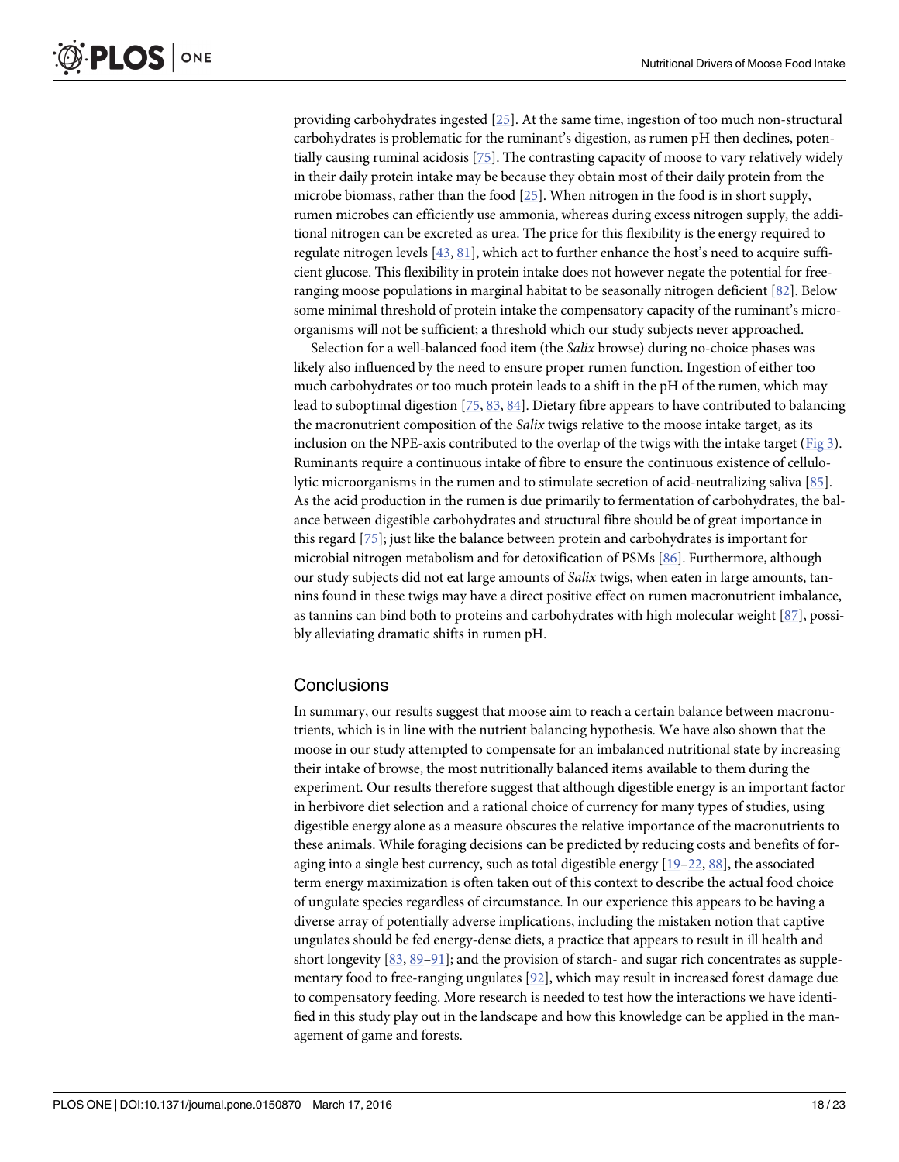<span id="page-17-0"></span>providing carbohydrates ingested [[25\]](#page-19-0). At the same time, ingestion of too much non-structural carbohydrates is problematic for the ruminant's digestion, as rumen pH then declines, potentially causing ruminal acidosis [\[75\]](#page-21-0). The contrasting capacity of moose to vary relatively widely in their daily protein intake may be because they obtain most of their daily protein from the microbe biomass, rather than the food [[25\]](#page-19-0). When nitrogen in the food is in short supply, rumen microbes can efficiently use ammonia, whereas during excess nitrogen supply, the additional nitrogen can be excreted as urea. The price for this flexibility is the energy required to regulate nitrogen levels [\[43,](#page-20-0) [81\]](#page-22-0), which act to further enhance the host's need to acquire sufficient glucose. This flexibility in protein intake does not however negate the potential for freeranging moose populations in marginal habitat to be seasonally nitrogen deficient [[82](#page-22-0)]. Below some minimal threshold of protein intake the compensatory capacity of the ruminant's microorganisms will not be sufficient; a threshold which our study subjects never approached.

Selection for a well-balanced food item (the *Salix* browse) during no-choice phases was likely also influenced by the need to ensure proper rumen function. Ingestion of either too much carbohydrates or too much protein leads to a shift in the pH of the rumen, which may lead to suboptimal digestion [\[75](#page-21-0), [83,](#page-22-0) [84\]](#page-22-0). Dietary fibre appears to have contributed to balancing the macronutrient composition of the *Salix* twigs relative to the moose intake target, as its inclusion on the NPE-axis contributed to the overlap of the twigs with the intake target ( $Fig 3$ ). Ruminants require a continuous intake of fibre to ensure the continuous existence of cellulolytic microorganisms in the rumen and to stimulate secretion of acid-neutralizing saliva [[85](#page-22-0)]. As the acid production in the rumen is due primarily to fermentation of carbohydrates, the balance between digestible carbohydrates and structural fibre should be of great importance in this regard [\[75\]](#page-21-0); just like the balance between protein and carbohydrates is important for microbial nitrogen metabolism and for detoxification of PSMs [[86](#page-22-0)]. Furthermore, although our study subjects did not eat large amounts of Salix twigs, when eaten in large amounts, tannins found in these twigs may have a direct positive effect on rumen macronutrient imbalance, as tannins can bind both to proteins and carbohydrates with high molecular weight [\[87\]](#page-22-0), possibly alleviating dramatic shifts in rumen pH.

# **Conclusions**

In summary, our results suggest that moose aim to reach a certain balance between macronutrients, which is in line with the nutrient balancing hypothesis. We have also shown that the moose in our study attempted to compensate for an imbalanced nutritional state by increasing their intake of browse, the most nutritionally balanced items available to them during the experiment. Our results therefore suggest that although digestible energy is an important factor in herbivore diet selection and a rational choice of currency for many types of studies, using digestible energy alone as a measure obscures the relative importance of the macronutrients to these animals. While foraging decisions can be predicted by reducing costs and benefits of foraging into a single best currency, such as total digestible energy  $[19-22, 88]$  $[19-22, 88]$  $[19-22, 88]$  $[19-22, 88]$  $[19-22, 88]$  $[19-22, 88]$ , the associated term energy maximization is often taken out of this context to describe the actual food choice of ungulate species regardless of circumstance. In our experience this appears to be having a diverse array of potentially adverse implications, including the mistaken notion that captive ungulates should be fed energy-dense diets, a practice that appears to result in ill health and short longevity  $[83, 89-91]$  $[83, 89-91]$  $[83, 89-91]$  $[83, 89-91]$  $[83, 89-91]$  $[83, 89-91]$  $[83, 89-91]$ ; and the provision of starch- and sugar rich concentrates as supplementary food to free-ranging ungulates [\[92\]](#page-22-0), which may result in increased forest damage due to compensatory feeding. More research is needed to test how the interactions we have identified in this study play out in the landscape and how this knowledge can be applied in the management of game and forests.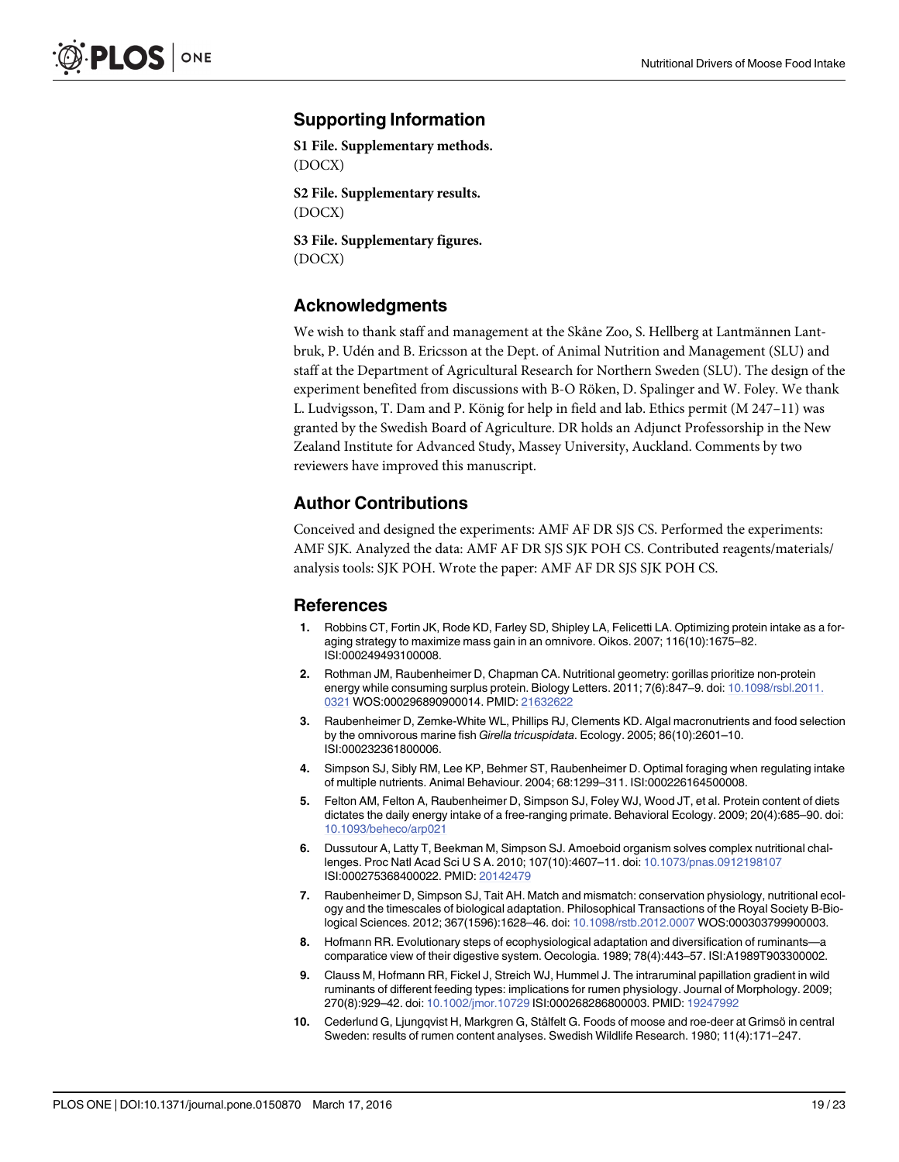# <span id="page-18-0"></span>Supporting Information

[S1 File.](http://www.plosone.org/article/fetchSingleRepresentation.action?uri=info:doi/10.1371/journal.pone.0150870.s001) Supplementary methods. (DOCX)

[S2 File.](http://www.plosone.org/article/fetchSingleRepresentation.action?uri=info:doi/10.1371/journal.pone.0150870.s002) Supplementary results. (DOCX)

[S3 File.](http://www.plosone.org/article/fetchSingleRepresentation.action?uri=info:doi/10.1371/journal.pone.0150870.s003) Supplementary figures. (DOCX)

# Acknowledgments

We wish to thank staff and management at the Skåne Zoo, S. Hellberg at Lantmännen Lantbruk, P. Udén and B. Ericsson at the Dept. of Animal Nutrition and Management (SLU) and staff at the Department of Agricultural Research for Northern Sweden (SLU). The design of the experiment benefited from discussions with B-O Röken, D. Spalinger and W. Foley. We thank L. Ludvigsson, T. Dam and P. König for help in field and lab. Ethics permit (M 247–11) was granted by the Swedish Board of Agriculture. DR holds an Adjunct Professorship in the New Zealand Institute for Advanced Study, Massey University, Auckland. Comments by two reviewers have improved this manuscript.

# Author Contributions

Conceived and designed the experiments: AMF AF DR SJS CS. Performed the experiments: AMF SJK. Analyzed the data: AMF AF DR SJS SJK POH CS. Contributed reagents/materials/ analysis tools: SJK POH. Wrote the paper: AMF AF DR SJS SJK POH CS.

#### **References**

- [1.](#page-1-0) Robbins CT, Fortin JK, Rode KD, Farley SD, Shipley LA, Felicetti LA. Optimizing protein intake as a foraging strategy to maximize mass gain in an omnivore. Oikos. 2007; 116(10):1675–82. ISI:000249493100008.
- 2. Rothman JM, Raubenheimer D, Chapman CA. Nutritional geometry: gorillas prioritize non-protein energy while consuming surplus protein. Biology Letters. 2011; 7(6):847–9. doi: [10.1098/rsbl.2011.](http://dx.doi.org/10.1098/rsbl.2011.0321) [0321](http://dx.doi.org/10.1098/rsbl.2011.0321) WOS:000296890900014. PMID: [21632622](http://www.ncbi.nlm.nih.gov/pubmed/21632622)
- 3. Raubenheimer D, Zemke-White WL, Phillips RJ, Clements KD. Algal macronutrients and food selection by the omnivorous marine fish Girella tricuspidata. Ecology. 2005; 86(10):2601–10. ISI:000232361800006.
- [4.](#page-16-0) Simpson SJ, Sibly RM, Lee KP, Behmer ST, Raubenheimer D. Optimal foraging when regulating intake of multiple nutrients. Animal Behaviour. 2004; 68:1299–311. ISI:000226164500008.
- [5.](#page-2-0) Felton AM, Felton A, Raubenheimer D, Simpson SJ, Foley WJ, Wood JT, et al. Protein content of diets dictates the daily energy intake of a free-ranging primate. Behavioral Ecology. 2009; 20(4):685–90. doi: [10.1093/beheco/arp021](http://dx.doi.org/10.1093/beheco/arp021)
- [6.](#page-1-0) Dussutour A, Latty T, Beekman M, Simpson SJ. Amoeboid organism solves complex nutritional challenges. Proc Natl Acad Sci U S A. 2010; 107(10):4607–11. doi: [10.1073/pnas.0912198107](http://dx.doi.org/10.1073/pnas.0912198107) ISI:000275368400022. PMID: [20142479](http://www.ncbi.nlm.nih.gov/pubmed/20142479)
- [7.](#page-1-0) Raubenheimer D, Simpson SJ, Tait AH. Match and mismatch: conservation physiology, nutritional ecology and the timescales of biological adaptation. Philosophical Transactions of the Royal Society B-Biological Sciences. 2012; 367(1596):1628–46. doi: [10.1098/rstb.2012.0007](http://dx.doi.org/10.1098/rstb.2012.0007) WOS:000303799900003.
- [8.](#page-1-0) Hofmann RR. Evolutionary steps of ecophysiological adaptation and diversification of ruminants—a comparatice view of their digestive system. Oecologia. 1989; 78(4):443–57. ISI:A1989T903300002.
- [9.](#page-1-0) Clauss M, Hofmann RR, Fickel J, Streich WJ, Hummel J. The intraruminal papillation gradient in wild ruminants of different feeding types: implications for rumen physiology. Journal of Morphology. 2009; 270(8):929–42. doi: [10.1002/jmor.10729](http://dx.doi.org/10.1002/jmor.10729) ISI:000268286800003. PMID: [19247992](http://www.ncbi.nlm.nih.gov/pubmed/19247992)
- [10.](#page-1-0) Cederlund G, Ljungqvist H, Markgren G, Stålfelt G. Foods of moose and roe-deer at Grimsö in central Sweden: results of rumen content analyses. Swedish Wildlife Research. 1980; 11(4):171–247.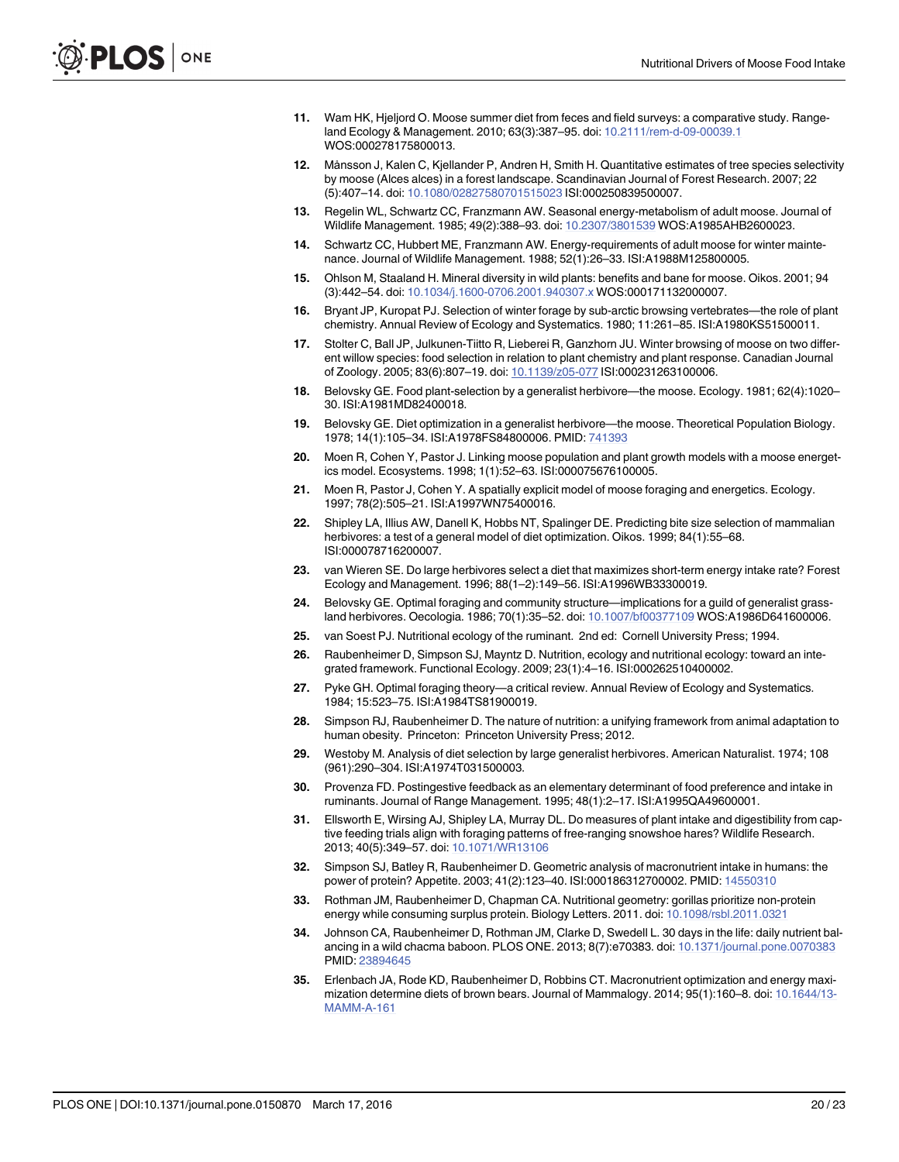- <span id="page-19-0"></span>[11.](#page-1-0) Wam HK, Hjeljord O. Moose summer diet from feces and field surveys: a comparative study. Rangeland Ecology & Management. 2010; 63(3):387–95. doi: [10.2111/rem-d-09-00039.1](http://dx.doi.org/10.2111/rem-d-09-00039.1) WOS:000278175800013.
- [12.](#page-1-0) Månsson J, Kalen C, Kjellander P, Andren H, Smith H. Quantitative estimates of tree species selectivity by moose (Alces alces) in a forest landscape. Scandinavian Journal of Forest Research. 2007; 22 (5):407–14. doi: [10.1080/02827580701515023](http://dx.doi.org/10.1080/02827580701515023) ISI:000250839500007.
- [13.](#page-1-0) Regelin WL, Schwartz CC, Franzmann AW. Seasonal energy-metabolism of adult moose. Journal of Wildlife Management. 1985; 49(2):388-93. doi: [10.2307/3801539](http://dx.doi.org/10.2307/3801539) WOS:A1985AHB2600023.
- [14.](#page-1-0) Schwartz CC, Hubbert ME, Franzmann AW. Energy-requirements of adult moose for winter maintenance. Journal of Wildlife Management. 1988; 52(1):26–33. ISI:A1988M125800005.
- [15.](#page-1-0) Ohlson M, Staaland H. Mineral diversity in wild plants: benefits and bane for moose. Oikos. 2001; 94 (3):442–54. doi: [10.1034/j.1600-0706.2001.940307.x](http://dx.doi.org/10.1034/j.1600-0706.2001.940307.x) WOS:000171132000007.
- [16.](#page-1-0) Bryant JP, Kuropat PJ. Selection of winter forage by sub-arctic browsing vertebrates—the role of plant chemistry. Annual Review of Ecology and Systematics. 1980; 11:261–85. ISI:A1980KS51500011.
- [17.](#page-1-0) Stolter C, Ball JP, Julkunen-Tiitto R, Lieberei R, Ganzhorn JU. Winter browsing of moose on two different willow species: food selection in relation to plant chemistry and plant response. Canadian Journal of Zoology. 2005; 83(6):807–19. doi: [10.1139/z05-077](http://dx.doi.org/10.1139/z05-077) ISI:000231263100006.
- [18.](#page-1-0) Belovsky GE. Food plant-selection by a generalist herbivore—the moose. Ecology. 1981; 62(4):1020– 30. ISI:A1981MD82400018.
- [19.](#page-1-0) Belovsky GE. Diet optimization in a generalist herbivore—the moose. Theoretical Population Biology. 1978; 14(1):105–34. ISI:A1978FS84800006. PMID: [741393](http://www.ncbi.nlm.nih.gov/pubmed/741393)
- [20.](#page-1-0) Moen R, Cohen Y, Pastor J. Linking moose population and plant growth models with a moose energetics model. Ecosystems. 1998; 1(1):52–63. ISI:000075676100005.
- 21. Moen R, Pastor J, Cohen Y. A spatially explicit model of moose foraging and energetics. Ecology. 1997; 78(2):505–21. ISI:A1997WN75400016.
- [22.](#page-2-0) Shipley LA, Illius AW, Danell K, Hobbs NT, Spalinger DE. Predicting bite size selection of mammalian herbivores: a test of a general model of diet optimization. Oikos. 1999; 84(1):55–68. ISI:000078716200007.
- [23.](#page-1-0) van Wieren SE. Do large herbivores select a diet that maximizes short-term energy intake rate? Forest Ecology and Management. 1996; 88(1–2):149–56. ISI:A1996WB33300019.
- [24.](#page-1-0) Belovsky GE. Optimal foraging and community structure—implications for a guild of generalist grassland herbivores. Oecologia. 1986; 70(1):35–52. doi: [10.1007/bf00377109](http://dx.doi.org/10.1007/bf00377109) WOS:A1986D641600006.
- [25.](#page-1-0) van Soest PJ. Nutritional ecology of the ruminant. 2nd ed: Cornell University Press; 1994.
- [26.](#page-1-0) Raubenheimer D, Simpson SJ, Mayntz D. Nutrition, ecology and nutritional ecology: toward an integrated framework. Functional Ecology. 2009; 23(1):4–16. ISI:000262510400002.
- [27.](#page-1-0) Pyke GH. Optimal foraging theory—a critical review. Annual Review of Ecology and Systematics. 1984; 15:523–75. ISI:A1984TS81900019.
- [28.](#page-1-0) Simpson RJ, Raubenheimer D. The nature of nutrition: a unifying framework from animal adaptation to human obesity. Princeton: Princeton University Press; 2012.
- [29.](#page-1-0) Westoby M. Analysis of diet selection by large generalist herbivores. American Naturalist. 1974; 108 (961):290–304. ISI:A1974T031500003.
- [30.](#page-1-0) Provenza FD. Postingestive feedback as an elementary determinant of food preference and intake in ruminants. Journal of Range Management. 1995; 48(1):2–17. ISI:A1995QA49600001.
- [31.](#page-1-0) Ellsworth E, Wirsing AJ, Shipley LA, Murray DL. Do measures of plant intake and digestibility from captive feeding trials align with foraging patterns of free-ranging snowshoe hares? Wildlife Research. 2013; 40(5):349–57. doi: [10.1071/WR13106](http://dx.doi.org/10.1071/WR13106)
- [32.](#page-3-0) Simpson SJ, Batley R, Raubenheimer D. Geometric analysis of macronutrient intake in humans: the power of protein? Appetite. 2003; 41(2):123–40. ISI:000186312700002. PMID: [14550310](http://www.ncbi.nlm.nih.gov/pubmed/14550310)
- [33.](#page-2-0) Rothman JM, Raubenheimer D, Chapman CA. Nutritional geometry: gorillas prioritize non-protein energy while consuming surplus protein. Biology Letters. 2011. doi: [10.1098/rsbl.2011.0321](http://dx.doi.org/10.1098/rsbl.2011.0321)
- [34.](#page-5-0) Johnson CA, Raubenheimer D, Rothman JM, Clarke D, Swedell L. 30 days in the life: daily nutrient balancing in a wild chacma baboon. PLOS ONE. 2013; 8(7):e70383. doi: [10.1371/journal.pone.0070383](http://dx.doi.org/10.1371/journal.pone.0070383) PMID: [23894645](http://www.ncbi.nlm.nih.gov/pubmed/23894645)
- [35.](#page-2-0) Erlenbach JA, Rode KD, Raubenheimer D, Robbins CT. Macronutrient optimization and energy maximization determine diets of brown bears. Journal of Mammalogy. 2014; 95(1):160–8. doi: [10.1644/13-](http://dx.doi.org/10.1644/13-MAMM-A-161) [MAMM-A-161](http://dx.doi.org/10.1644/13-MAMM-A-161)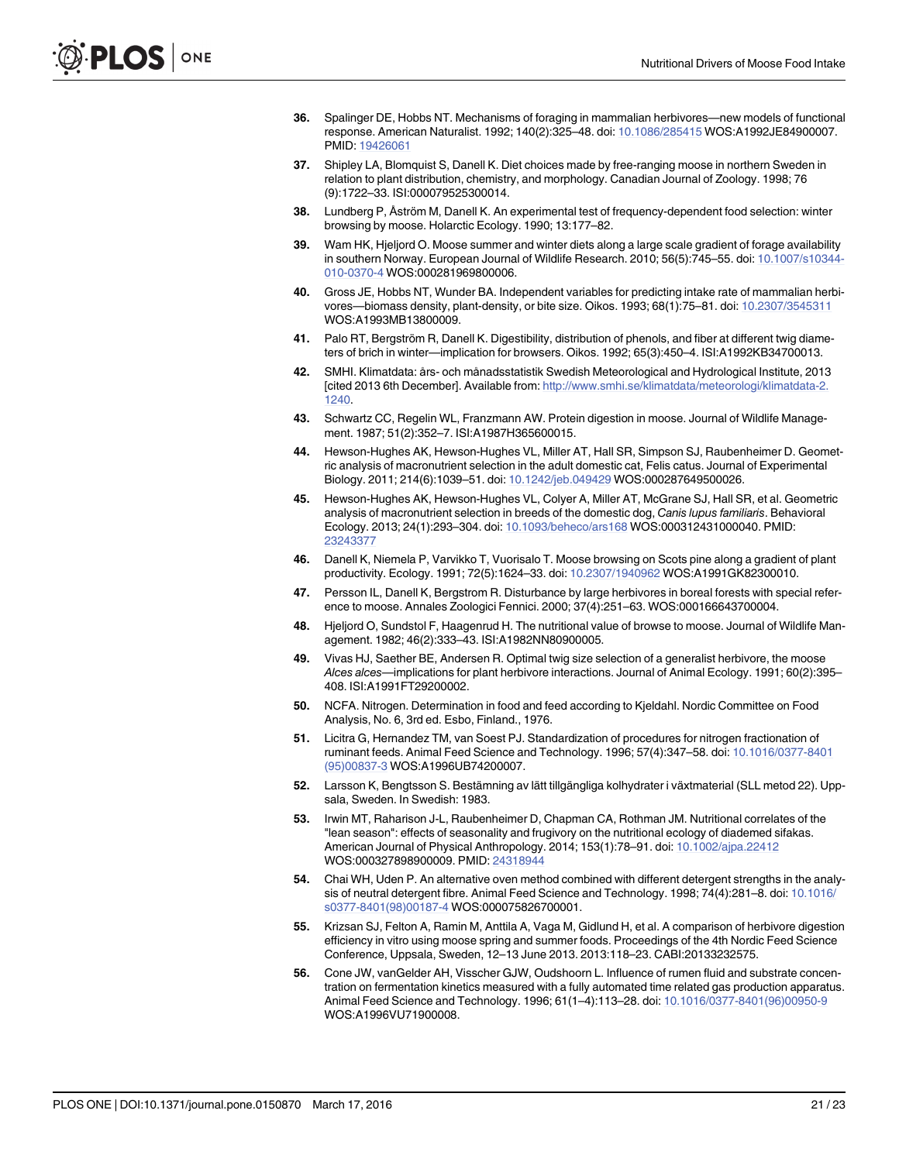- <span id="page-20-0"></span>[36.](#page-2-0) Spalinger DE, Hobbs NT. Mechanisms of foraging in mammalian herbivores—new models of functional response. American Naturalist. 1992; 140(2):325–48. doi: [10.1086/285415](http://dx.doi.org/10.1086/285415) WOS:A1992JE84900007. PMID: [19426061](http://www.ncbi.nlm.nih.gov/pubmed/19426061)
- [37.](#page-4-0) Shipley LA, Blomquist S, Danell K. Diet choices made by free-ranging moose in northern Sweden in relation to plant distribution, chemistry, and morphology. Canadian Journal of Zoology. 1998; 76 (9):1722–33. ISI:000079525300014.
- [38.](#page-16-0) Lundberg P, Åström M, Danell K. An experimental test of frequency-dependent food selection: winter browsing by moose. Holarctic Ecology. 1990; 13:177–82.
- [39.](#page-2-0) Wam HK, Hjeljord O. Moose summer and winter diets along a large scale gradient of forage availability in southern Norway. European Journal of Wildlife Research. 2010; 56(5):745-55. doi: [10.1007/s10344-](http://dx.doi.org/10.1007/s10344-010-0370-4) [010-0370-4](http://dx.doi.org/10.1007/s10344-010-0370-4) WOS:000281969800006.
- [40.](#page-2-0) Gross JE, Hobbs NT, Wunder BA. Independent variables for predicting intake rate of mammalian herbivores—biomass density, plant-density, or bite size. Oikos. 1993; 68(1):75–81. doi: [10.2307/3545311](http://dx.doi.org/10.2307/3545311) WOS:A1993MB13800009.
- [41.](#page-2-0) Palo RT, Bergström R, Danell K. Digestibility, distribution of phenols, and fiber at different twig diameters of brich in winter—implication for browsers. Oikos. 1992; 65(3):450–4. ISI:A1992KB34700013.
- [42.](#page-2-0) SMHI. Klimatdata: års- och månadsstatistik Swedish Meteorological and Hydrological Institute, 2013 [cited 2013 6th December]. Available from: [http://www.smhi.se/klimatdata/meteorologi/klimatdata-2.](http://www.smhi.se/klimatdata/meteorologi/klimatdata-2.1240) [1240.](http://www.smhi.se/klimatdata/meteorologi/klimatdata-2.1240)
- [43.](#page-4-0) Schwartz CC, Regelin WL, Franzmann AW. Protein digestion in moose. Journal of Wildlife Management. 1987; 51(2):352–7. ISI:A1987H365600015.
- [44.](#page-5-0) Hewson-Hughes AK, Hewson-Hughes VL, Miller AT, Hall SR, Simpson SJ, Raubenheimer D. Geometric analysis of macronutrient selection in the adult domestic cat, Felis catus. Journal of Experimental Biology. 2011; 214(6):1039–51. doi: [10.1242/jeb.049429](http://dx.doi.org/10.1242/jeb.049429) WOS:000287649500026.
- [45.](#page-5-0) Hewson-Hughes AK, Hewson-Hughes VL, Colyer A, Miller AT, McGrane SJ, Hall SR, et al. Geometric analysis of macronutrient selection in breeds of the domestic dog, Canis lupus familiaris. Behavioral Ecology. 2013; 24(1):293–304. doi: [10.1093/beheco/ars168](http://dx.doi.org/10.1093/beheco/ars168) WOS:000312431000040. PMID: [23243377](http://www.ncbi.nlm.nih.gov/pubmed/23243377)
- [46.](#page-6-0) Danell K, Niemela P, Varvikko T, Vuorisalo T. Moose browsing on Scots pine along a gradient of plant productivity. Ecology. 1991; 72(5):1624–33. doi: [10.2307/1940962](http://dx.doi.org/10.2307/1940962) WOS:A1991GK82300010.
- [47.](#page-6-0) Persson IL, Danell K, Bergstrom R. Disturbance by large herbivores in boreal forests with special reference to moose. Annales Zoologici Fennici. 2000; 37(4):251–63. WOS:000166643700004.
- [48.](#page-6-0) Hjeljord O, Sundstol F, Haagenrud H. The nutritional value of browse to moose. Journal of Wildlife Management. 1982; 46(2):333–43. ISI:A1982NN80900005.
- [49.](#page-6-0) Vivas HJ, Saether BE, Andersen R. Optimal twig size selection of a generalist herbivore, the moose Alces alces—implications for plant herbivore interactions. Journal of Animal Ecology. 1991; 60(2):395– 408. ISI:A1991FT29200002.
- [50.](#page-7-0) NCFA. Nitrogen. Determination in food and feed according to Kjeldahl. Nordic Committee on Food Analysis, No. 6, 3rd ed. Esbo, Finland., 1976.
- [51.](#page-7-0) Licitra G, Hernandez TM, van Soest PJ. Standardization of procedures for nitrogen fractionation of ruminant feeds. Animal Feed Science and Technology. 1996; 57(4):347–58. doi: [10.1016/0377-8401](http://dx.doi.org/10.1016/0377-8401(95)00837-3) [\(95\)00837-3](http://dx.doi.org/10.1016/0377-8401(95)00837-3) WOS:A1996UB74200007.
- [52.](#page-7-0) Larsson K, Bengtsson S. Bestämning av lätt tillgängliga kolhydrater i växtmaterial (SLL metod 22). Uppsala, Sweden. In Swedish: 1983.
- [53.](#page-7-0) Irwin MT, Raharison J-L, Raubenheimer D, Chapman CA, Rothman JM. Nutritional correlates of the "lean season": effects of seasonality and frugivory on the nutritional ecology of diademed sifakas. American Journal of Physical Anthropology. 2014; 153(1):78–91. doi: [10.1002/ajpa.22412](http://dx.doi.org/10.1002/ajpa.22412) WOS:000327898900009. PMID: [24318944](http://www.ncbi.nlm.nih.gov/pubmed/24318944)
- [54.](#page-7-0) Chai WH, Uden P. An alternative oven method combined with different detergent strengths in the analysis of neutral detergent fibre. Animal Feed Science and Technology. 1998; 74(4):281–8. doi: [10.1016/](http://dx.doi.org/10.1016/s0377-8401(98)00187-4) [s0377-8401\(98\)00187-4](http://dx.doi.org/10.1016/s0377-8401(98)00187-4) WOS:000075826700001.
- [55.](#page-7-0) Krizsan SJ, Felton A, Ramin M, Anttila A, Vaga M, Gidlund H, et al. A comparison of herbivore digestion efficiency in vitro using moose spring and summer foods. Proceedings of the 4th Nordic Feed Science Conference, Uppsala, Sweden, 12–13 June 2013. 2013:118–23. CABI:20133232575.
- [56.](#page-7-0) Cone JW, vanGelder AH, Visscher GJW, Oudshoorn L. Influence of rumen fluid and substrate concentration on fermentation kinetics measured with a fully automated time related gas production apparatus. Animal Feed Science and Technology. 1996; 61(1–4):113–28. doi: [10.1016/0377-8401\(96\)00950-9](http://dx.doi.org/10.1016/0377-8401(96)00950-9) WOS:A1996VU71900008.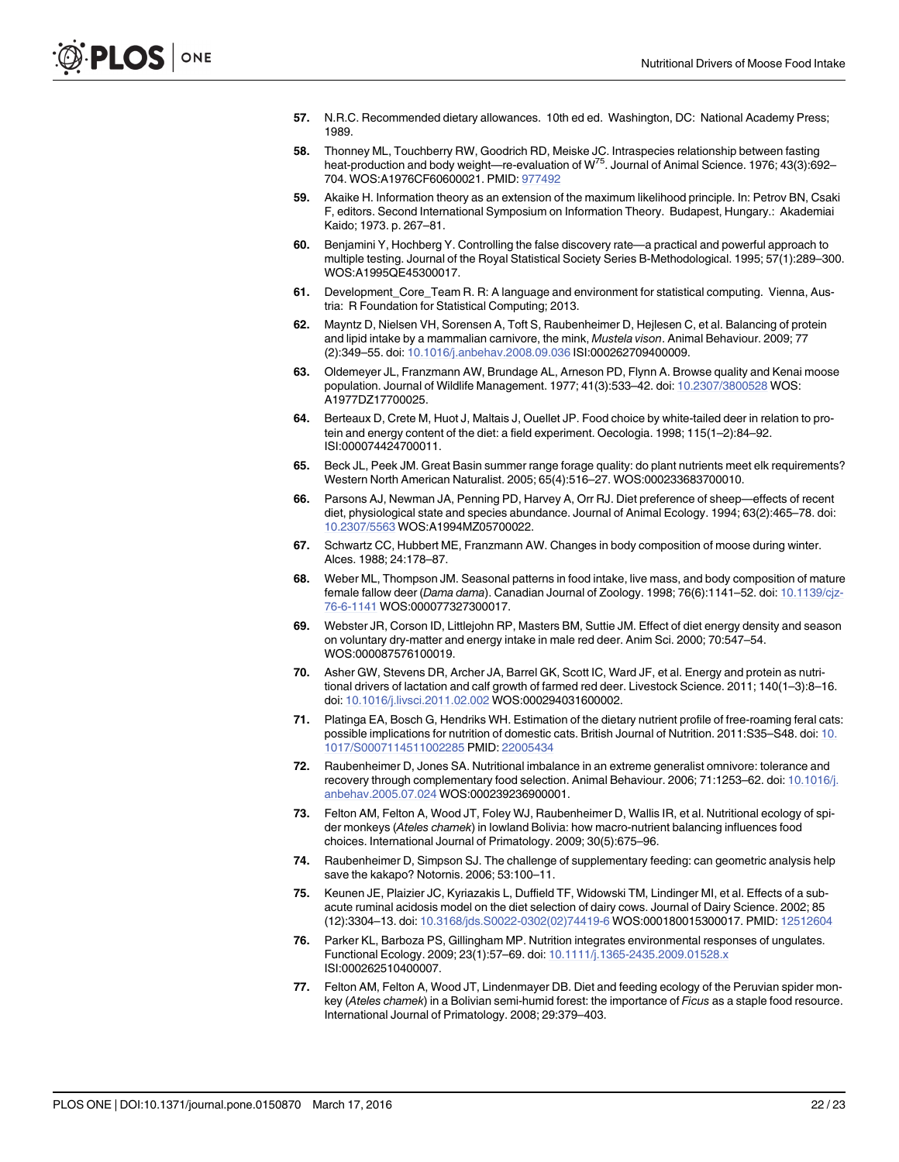- <span id="page-21-0"></span>[57.](#page-8-0) N.R.C. Recommended dietary allowances. 10th ed ed. Washington, DC: National Academy Press; 1989.
- [58.](#page-8-0) Thonney ML, Touchberry RW, Goodrich RD, Meiske JC. Intraspecies relationship between fasting heat-production and body weight—re-evaluation of W<sup>75</sup>. Journal of Animal Science. 1976; 43(3):692-704. WOS:A1976CF60600021. PMID: [977492](http://www.ncbi.nlm.nih.gov/pubmed/977492)
- [59.](#page-9-0) Akaike H. Information theory as an extension of the maximum likelihood principle. In: Petrov BN, Csaki F, editors. Second International Symposium on Information Theory. Budapest, Hungary.: Akademiai Kaido; 1973. p. 267–81.
- [60.](#page-9-0) Benjamini Y, Hochberg Y. Controlling the false discovery rate—a practical and powerful approach to multiple testing. Journal of the Royal Statistical Society Series B-Methodological. 1995; 57(1):289–300. WOS:A1995QE45300017.
- [61.](#page-9-0) Development\_Core\_Team R. R: A language and environment for statistical computing. Vienna, Austria: R Foundation for Statistical Computing; 2013.
- [62.](#page-15-0) Mayntz D, Nielsen VH, Sorensen A, Toft S, Raubenheimer D, Hejlesen C, et al. Balancing of protein and lipid intake by a mammalian carnivore, the mink, Mustela vison. Animal Behaviour. 2009; 77 (2):349–55. doi: [10.1016/j.anbehav.2008.09.036](http://dx.doi.org/10.1016/j.anbehav.2008.09.036) ISI:000262709400009.
- [63.](#page-15-0) Oldemeyer JL, Franzmann AW, Brundage AL, Arneson PD, Flynn A. Browse quality and Kenai moose population. Journal of Wildlife Management. 1977; 41(3):533–42. doi: [10.2307/3800528](http://dx.doi.org/10.2307/3800528) WOS: A1977DZ17700025.
- [64.](#page-15-0) Berteaux D, Crete M, Huot J, Maltais J, Ouellet JP. Food choice by white-tailed deer in relation to protein and energy content of the diet: a field experiment. Oecologia. 1998; 115(1–2):84–92. ISI:000074424700011.
- 65. Beck JL, Peek JM. Great Basin summer range forage quality: do plant nutrients meet elk requirements? Western North American Naturalist. 2005; 65(4):516–27. WOS:000233683700010.
- [66.](#page-15-0) Parsons AJ, Newman JA, Penning PD, Harvey A, Orr RJ. Diet preference of sheep—effects of recent diet, physiological state and species abundance. Journal of Animal Ecology. 1994; 63(2):465–78. doi: [10.2307/5563](http://dx.doi.org/10.2307/5563) WOS:A1994MZ05700022.
- [67.](#page-15-0) Schwartz CC, Hubbert ME, Franzmann AW. Changes in body composition of moose during winter. Alces. 1988; 24:178–87.
- [68.](#page-15-0) Weber ML, Thompson JM. Seasonal patterns in food intake, live mass, and body composition of mature female fallow deer (Dama dama). Canadian Journal of Zoology. 1998; 76(6):1141–52. doi: [10.1139/cjz-](http://dx.doi.org/10.1139/cjz-76-6-1141)[76-6-1141](http://dx.doi.org/10.1139/cjz-76-6-1141) WOS:000077327300017.
- [69.](#page-15-0) Webster JR, Corson ID, Littlejohn RP, Masters BM, Suttie JM. Effect of diet energy density and season on voluntary dry-matter and energy intake in male red deer. Anim Sci. 2000; 70:547–54. WOS:000087576100019.
- [70.](#page-15-0) Asher GW, Stevens DR, Archer JA, Barrel GK, Scott IC, Ward JF, et al. Energy and protein as nutritional drivers of lactation and calf growth of farmed red deer. Livestock Science. 2011; 140(1–3):8–16. doi: [10.1016/j.livsci.2011.02.002](http://dx.doi.org/10.1016/j.livsci.2011.02.002) WOS:000294031600002.
- [71.](#page-15-0) Platinga EA, Bosch G, Hendriks WH. Estimation of the dietary nutrient profile of free-roaming feral cats: possible implications for nutrition of domestic cats. British Journal of Nutrition. 2011:S35–S48. doi: [10.](http://dx.doi.org/10.1017/S0007114511002285) [1017/S0007114511002285](http://dx.doi.org/10.1017/S0007114511002285) PMID: [22005434](http://www.ncbi.nlm.nih.gov/pubmed/22005434)
- [72.](#page-15-0) Raubenheimer D, Jones SA. Nutritional imbalance in an extreme generalist omnivore: tolerance and recovery through complementary food selection. Animal Behaviour. 2006; 71:1253–62. doi: [10.1016/j.](http://dx.doi.org/10.1016/j.anbehav.2005.07.024) [anbehav.2005.07.024](http://dx.doi.org/10.1016/j.anbehav.2005.07.024) WOS:000239236900001.
- [73.](#page-16-0) Felton AM, Felton A, Wood JT, Foley WJ, Raubenheimer D, Wallis IR, et al. Nutritional ecology of spider monkeys (Ateles chamek) in lowland Bolivia: how macro-nutrient balancing influences food choices. International Journal of Primatology. 2009; 30(5):675–96.
- [74.](#page-16-0) Raubenheimer D, Simpson SJ. The challenge of supplementary feeding: can geometric analysis help save the kakapo? Notornis. 2006; 53:100–11.
- [75.](#page-16-0) Keunen JE, Plaizier JC, Kyriazakis L, Duffield TF, Widowski TM, Lindinger MI, et al. Effects of a subacute ruminal acidosis model on the diet selection of dairy cows. Journal of Dairy Science. 2002; 85 (12):3304–13. doi: [10.3168/jds.S0022-0302\(02\)74419-6](http://dx.doi.org/10.3168/jds.S0022-0302(02)74419-6) WOS:000180015300017. PMID: [12512604](http://www.ncbi.nlm.nih.gov/pubmed/12512604)
- [76.](#page-16-0) Parker KL, Barboza PS, Gillingham MP. Nutrition integrates environmental responses of ungulates. Functional Ecology. 2009; 23(1):57–69. doi: [10.1111/j.1365-2435.2009.01528.x](http://dx.doi.org/10.1111/j.1365-2435.2009.01528.x) ISI:000262510400007.
- [77.](#page-16-0) Felton AM, Felton A, Wood JT, Lindenmayer DB. Diet and feeding ecology of the Peruvian spider monkey (Ateles chamek) in a Bolivian semi-humid forest: the importance of Ficus as a staple food resource. International Journal of Primatology. 2008; 29:379–403.